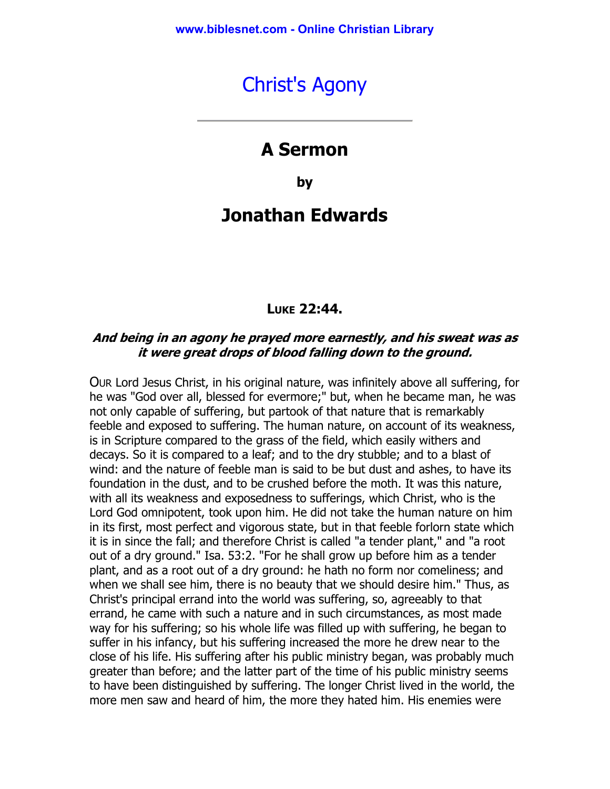# Christ's Agony

### A Sermon

by

## Jonathan Edwards

#### LUKE 22:44.

#### And being in an agony he prayed more earnestly, and his sweat was as it were great drops of blood falling down to the ground.

OUR Lord Jesus Christ, in his original nature, was infinitely above all suffering, for he was "God over all, blessed for evermore;" but, when he became man, he was not only capable of suffering, but partook of that nature that is remarkably feeble and exposed to suffering. The human nature, on account of its weakness, is in Scripture compared to the grass of the field, which easily withers and decays. So it is compared to a leaf; and to the dry stubble; and to a blast of wind: and the nature of feeble man is said to be but dust and ashes, to have its foundation in the dust, and to be crushed before the moth. It was this nature, with all its weakness and exposedness to sufferings, which Christ, who is the Lord God omnipotent, took upon him. He did not take the human nature on him in its first, most perfect and vigorous state, but in that feeble forlorn state which it is in since the fall; and therefore Christ is called "a tender plant," and "a root out of a dry ground." Isa. 53:2. "For he shall grow up before him as a tender plant, and as a root out of a dry ground: he hath no form nor comeliness; and when we shall see him, there is no beauty that we should desire him." Thus, as Christ's principal errand into the world was suffering, so, agreeably to that errand, he came with such a nature and in such circumstances, as most made way for his suffering; so his whole life was filled up with suffering, he began to suffer in his infancy, but his suffering increased the more he drew near to the close of his life. His suffering after his public ministry began, was probably much greater than before; and the latter part of the time of his public ministry seems to have been distinguished by suffering. The longer Christ lived in the world, the more men saw and heard of him, the more they hated him. His enemies were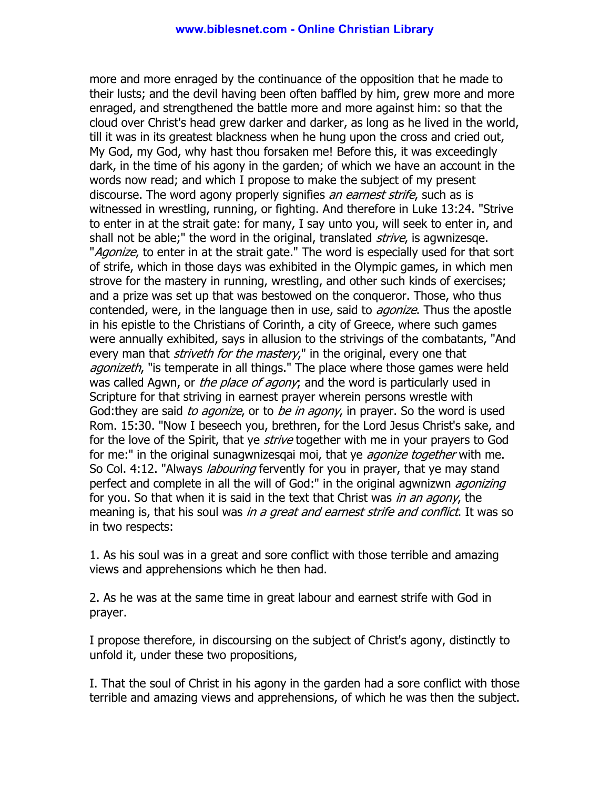more and more enraged by the continuance of the opposition that he made to their lusts; and the devil having been often baffled by him, grew more and more enraged, and strengthened the battle more and more against him: so that the cloud over Christ's head grew darker and darker, as long as he lived in the world, till it was in its greatest blackness when he hung upon the cross and cried out, My God, my God, why hast thou forsaken me! Before this, it was exceedingly dark, in the time of his agony in the garden; of which we have an account in the words now read; and which I propose to make the subject of my present discourse. The word agony properly signifies *an earnest strife*, such as is witnessed in wrestling, running, or fighting. And therefore in Luke 13:24. "Strive to enter in at the strait gate: for many, I say unto you, will seek to enter in, and shall not be able;" the word in the original, translated *strive*, is agwnizesge. "Agonize, to enter in at the strait gate." The word is especially used for that sort of strife, which in those days was exhibited in the Olympic games, in which men strove for the mastery in running, wrestling, and other such kinds of exercises; and a prize was set up that was bestowed on the conqueror. Those, who thus contended, were, in the language then in use, said to *agonize*. Thus the apostle in his epistle to the Christians of Corinth, a city of Greece, where such games were annually exhibited, says in allusion to the strivings of the combatants, "And every man that *striveth for the mastery*," in the original, every one that agonizeth, "is temperate in all things." The place where those games were held was called Agwn, or *the place of agony*; and the word is particularly used in Scripture for that striving in earnest prayer wherein persons wrestle with God: they are said *to agonize*, or to *be in agony*, in prayer. So the word is used Rom. 15:30. "Now I beseech you, brethren, for the Lord Jesus Christ's sake, and for the love of the Spirit, that ye *strive* together with me in your prayers to God for me:" in the original sunagwnizesgai moi, that ye *agonize together* with me. So Col. 4:12. "Always *labouring* fervently for you in prayer, that ye may stand perfect and complete in all the will of God:" in the original agwnizwn *agonizing* for you. So that when it is said in the text that Christ was *in an agony*, the meaning is, that his soul was *in a great and earnest strife and conflict*. It was so in two respects:

1. As his soul was in a great and sore conflict with those terrible and amazing views and apprehensions which he then had.

2. As he was at the same time in great labour and earnest strife with God in prayer.

I propose therefore, in discoursing on the subject of Christ's agony, distinctly to unfold it, under these two propositions,

I. That the soul of Christ in his agony in the garden had a sore conflict with those terrible and amazing views and apprehensions, of which he was then the subject.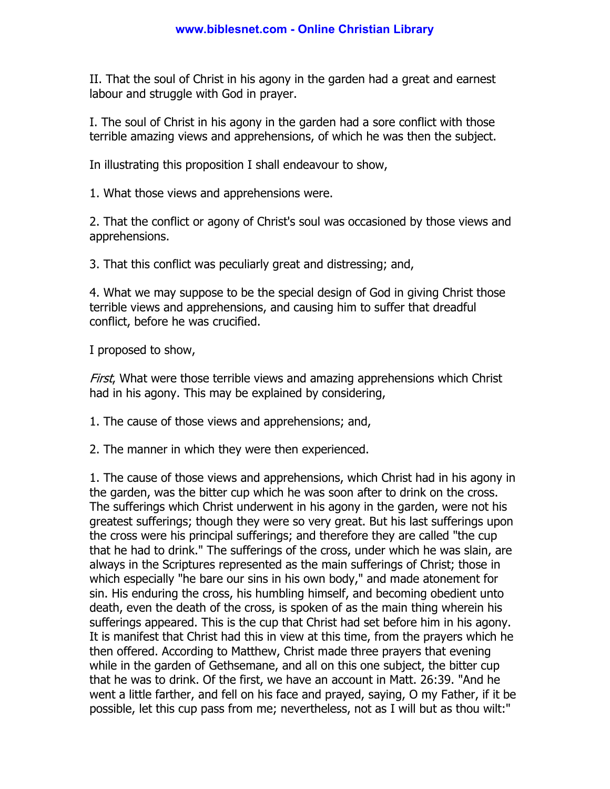II. That the soul of Christ in his agony in the garden had a great and earnest labour and struggle with God in prayer.

I. The soul of Christ in his agony in the garden had a sore conflict with those terrible amazing views and apprehensions, of which he was then the subject.

In illustrating this proposition I shall endeavour to show,

1. What those views and apprehensions were.

2. That the conflict or agony of Christ's soul was occasioned by those views and apprehensions.

3. That this conflict was peculiarly great and distressing; and,

4. What we may suppose to be the special design of God in giving Christ those terrible views and apprehensions, and causing him to suffer that dreadful conflict, before he was crucified.

I proposed to show,

First, What were those terrible views and amazing apprehensions which Christ had in his agony. This may be explained by considering,

1. The cause of those views and apprehensions; and,

2. The manner in which they were then experienced.

1. The cause of those views and apprehensions, which Christ had in his agony in the garden, was the bitter cup which he was soon after to drink on the cross. The sufferings which Christ underwent in his agony in the garden, were not his greatest sufferings; though they were so very great. But his last sufferings upon the cross were his principal sufferings; and therefore they are called "the cup that he had to drink." The sufferings of the cross, under which he was slain, are always in the Scriptures represented as the main sufferings of Christ; those in which especially "he bare our sins in his own body," and made atonement for sin. His enduring the cross, his humbling himself, and becoming obedient unto death, even the death of the cross, is spoken of as the main thing wherein his sufferings appeared. This is the cup that Christ had set before him in his agony. It is manifest that Christ had this in view at this time, from the prayers which he then offered. According to Matthew, Christ made three prayers that evening while in the garden of Gethsemane, and all on this one subject, the bitter cup that he was to drink. Of the first, we have an account in Matt. 26:39. "And he went a little farther, and fell on his face and prayed, saying, O my Father, if it be possible, let this cup pass from me; nevertheless, not as I will but as thou wilt:"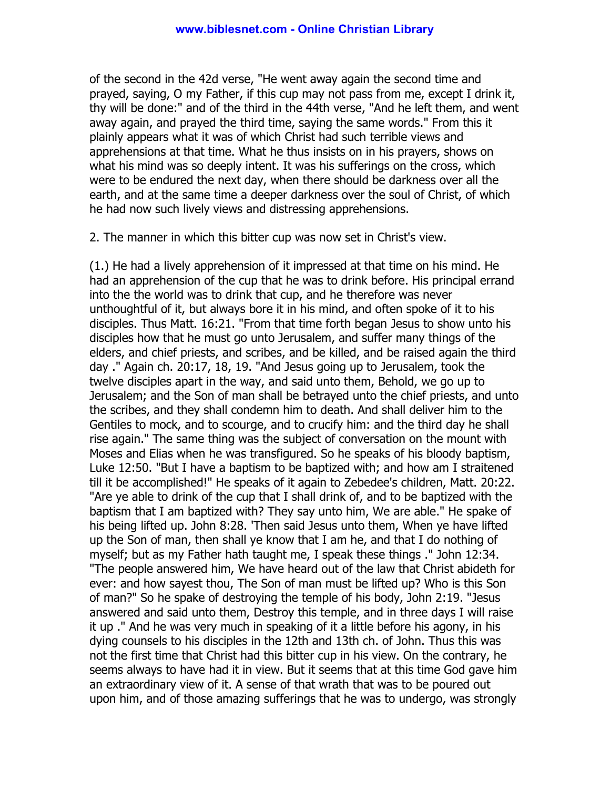of the second in the 42d verse, "He went away again the second time and prayed, saying, O my Father, if this cup may not pass from me, except I drink it, thy will be done:" and of the third in the 44th verse, "And he left them, and went away again, and prayed the third time, saying the same words." From this it plainly appears what it was of which Christ had such terrible views and apprehensions at that time. What he thus insists on in his prayers, shows on what his mind was so deeply intent. It was his sufferings on the cross, which were to be endured the next day, when there should be darkness over all the earth, and at the same time a deeper darkness over the soul of Christ, of which he had now such lively views and distressing apprehensions.

2. The manner in which this bitter cup was now set in Christ's view.

(1.) He had a lively apprehension of it impressed at that time on his mind. He had an apprehension of the cup that he was to drink before. His principal errand into the the world was to drink that cup, and he therefore was never unthoughtful of it, but always bore it in his mind, and often spoke of it to his disciples. Thus Matt. 16:21. "From that time forth began Jesus to show unto his disciples how that he must go unto Jerusalem, and suffer many things of the elders, and chief priests, and scribes, and be killed, and be raised again the third day ." Again ch. 20:17, 18, 19. "And Jesus going up to Jerusalem, took the twelve disciples apart in the way, and said unto them, Behold, we go up to Jerusalem; and the Son of man shall be betrayed unto the chief priests, and unto the scribes, and they shall condemn him to death. And shall deliver him to the Gentiles to mock, and to scourge, and to crucify him: and the third day he shall rise again." The same thing was the subject of conversation on the mount with Moses and Elias when he was transfigured. So he speaks of his bloody baptism, Luke 12:50. "But I have a baptism to be baptized with; and how am I straitened till it be accomplished!" He speaks of it again to Zebedee's children, Matt. 20:22. "Are ye able to drink of the cup that I shall drink of, and to be baptized with the baptism that I am baptized with? They say unto him, We are able." He spake of his being lifted up. John 8:28. 'Then said Jesus unto them, When ye have lifted up the Son of man, then shall ye know that I am he, and that I do nothing of myself; but as my Father hath taught me, I speak these things ." John 12:34. "The people answered him, We have heard out of the law that Christ abideth for ever: and how sayest thou, The Son of man must be lifted up? Who is this Son of man?" So he spake of destroying the temple of his body, John 2:19. "Jesus answered and said unto them, Destroy this temple, and in three days I will raise it up ." And he was very much in speaking of it a little before his agony, in his dying counsels to his disciples in the 12th and 13th ch. of John. Thus this was not the first time that Christ had this bitter cup in his view. On the contrary, he seems always to have had it in view. But it seems that at this time God gave him an extraordinary view of it. A sense of that wrath that was to be poured out upon him, and of those amazing sufferings that he was to undergo, was strongly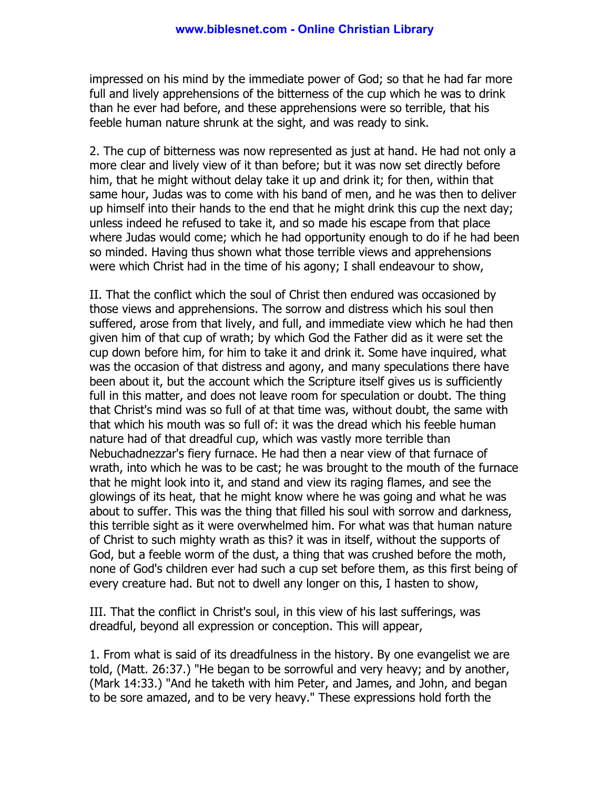impressed on his mind by the immediate power of God; so that he had far more full and lively apprehensions of the bitterness of the cup which he was to drink than he ever had before, and these apprehensions were so terrible, that his feeble human nature shrunk at the sight, and was ready to sink.

2. The cup of bitterness was now represented as just at hand. He had not only a more clear and lively view of it than before; but it was now set directly before him, that he might without delay take it up and drink it; for then, within that same hour, Judas was to come with his band of men, and he was then to deliver up himself into their hands to the end that he might drink this cup the next day; unless indeed he refused to take it, and so made his escape from that place where Judas would come; which he had opportunity enough to do if he had been so minded. Having thus shown what those terrible views and apprehensions were which Christ had in the time of his agony; I shall endeavour to show,

II. That the conflict which the soul of Christ then endured was occasioned by those views and apprehensions. The sorrow and distress which his soul then suffered, arose from that lively, and full, and immediate view which he had then given him of that cup of wrath; by which God the Father did as it were set the cup down before him, for him to take it and drink it. Some have inquired, what was the occasion of that distress and agony, and many speculations there have been about it, but the account which the Scripture itself gives us is sufficiently full in this matter, and does not leave room for speculation or doubt. The thing that Christ's mind was so full of at that time was, without doubt, the same with that which his mouth was so full of: it was the dread which his feeble human nature had of that dreadful cup, which was vastly more terrible than Nebuchadnezzar's fiery furnace. He had then a near view of that furnace of wrath, into which he was to be cast; he was brought to the mouth of the furnace that he might look into it, and stand and view its raging flames, and see the glowings of its heat, that he might know where he was going and what he was about to suffer. This was the thing that filled his soul with sorrow and darkness, this terrible sight as it were overwhelmed him. For what was that human nature of Christ to such mighty wrath as this? it was in itself, without the supports of God, but a feeble worm of the dust, a thing that was crushed before the moth, none of God's children ever had such a cup set before them, as this first being of every creature had. But not to dwell any longer on this, I hasten to show,

III. That the conflict in Christ's soul, in this view of his last sufferings, was dreadful, beyond all expression or conception. This will appear,

1. From what is said of its dreadfulness in the history. By one evangelist we are told, (Matt. 26:37.) "He began to be sorrowful and very heavy; and by another, (Mark 14:33.) "And he taketh with him Peter, and James, and John, and began to be sore amazed, and to be very heavy." These expressions hold forth the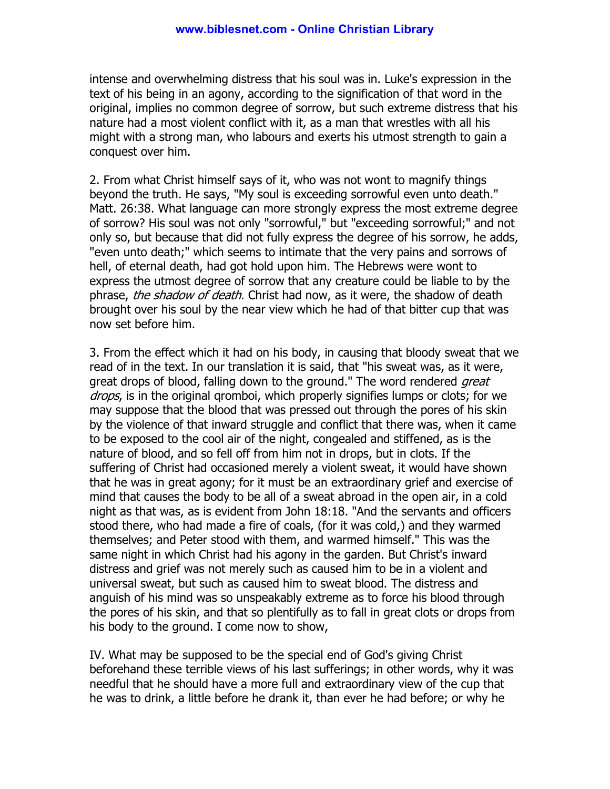intense and overwhelming distress that his soul was in. Luke's expression in the text of his being in an agony, according to the signification of that word in the original, implies no common degree of sorrow, but such extreme distress that his nature had a most violent conflict with it, as a man that wrestles with all his might with a strong man, who labours and exerts his utmost strength to gain a conquest over him.

2. From what Christ himself says of it, who was not wont to magnify things beyond the truth. He says, "My soul is exceeding sorrowful even unto death." Matt. 26:38. What language can more strongly express the most extreme degree of sorrow? His soul was not only "sorrowful," but "exceeding sorrowful;" and not only so, but because that did not fully express the degree of his sorrow, he adds, "even unto death;" which seems to intimate that the very pains and sorrows of hell, of eternal death, had got hold upon him. The Hebrews were wont to express the utmost degree of sorrow that any creature could be liable to by the phrase, *the shadow of death*. Christ had now, as it were, the shadow of death brought over his soul by the near view which he had of that bitter cup that was now set before him.

3. From the effect which it had on his body, in causing that bloody sweat that we read of in the text. In our translation it is said, that "his sweat was, as it were, great drops of blood, falling down to the ground." The word rendered *great* drops, is in the original gromboi, which properly signifies lumps or clots; for we may suppose that the blood that was pressed out through the pores of his skin by the violence of that inward struggle and conflict that there was, when it came to be exposed to the cool air of the night, congealed and stiffened, as is the nature of blood, and so fell off from him not in drops, but in clots. If the suffering of Christ had occasioned merely a violent sweat, it would have shown that he was in great agony; for it must be an extraordinary grief and exercise of mind that causes the body to be all of a sweat abroad in the open air, in a cold night as that was, as is evident from John 18:18. "And the servants and officers stood there, who had made a fire of coals, (for it was cold,) and they warmed themselves; and Peter stood with them, and warmed himself." This was the same night in which Christ had his agony in the garden. But Christ's inward distress and grief was not merely such as caused him to be in a violent and universal sweat, but such as caused him to sweat blood. The distress and anguish of his mind was so unspeakably extreme as to force his blood through the pores of his skin, and that so plentifully as to fall in great clots or drops from his body to the ground. I come now to show,

IV. What may be supposed to be the special end of God's giving Christ beforehand these terrible views of his last sufferings; in other words, why it was needful that he should have a more full and extraordinary view of the cup that he was to drink, a little before he drank it, than ever he had before; or why he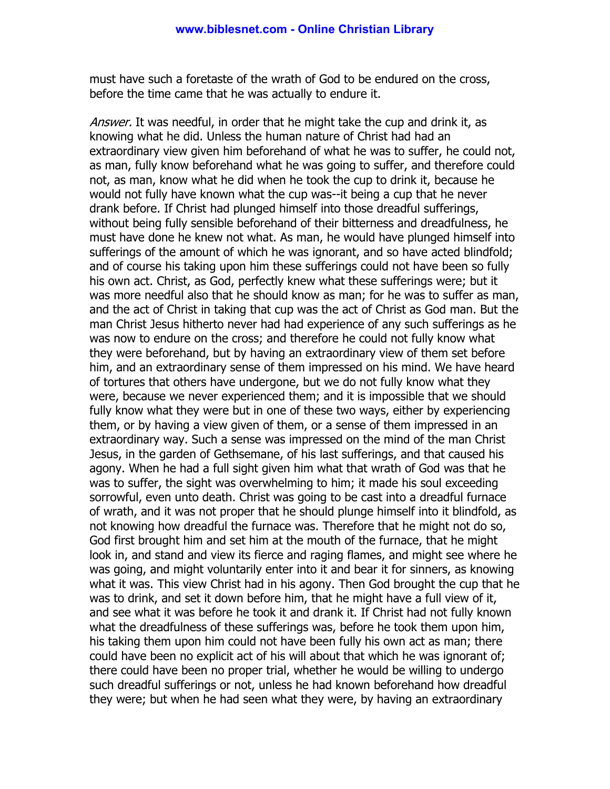must have such a foretaste of the wrath of God to be endured on the cross, before the time came that he was actually to endure it.

Answer. It was needful, in order that he might take the cup and drink it, as knowing what he did. Unless the human nature of Christ had had an extraordinary view given him beforehand of what he was to suffer, he could not, as man, fully know beforehand what he was going to suffer, and therefore could not, as man, know what he did when he took the cup to drink it, because he would not fully have known what the cup was--it being a cup that he never drank before. If Christ had plunged himself into those dreadful sufferings, without being fully sensible beforehand of their bitterness and dreadfulness, he must have done he knew not what. As man, he would have plunged himself into sufferings of the amount of which he was ignorant, and so have acted blindfold; and of course his taking upon him these sufferings could not have been so fully his own act. Christ, as God, perfectly knew what these sufferings were; but it was more needful also that he should know as man; for he was to suffer as man, and the act of Christ in taking that cup was the act of Christ as God man. But the man Christ Jesus hitherto never had had experience of any such sufferings as he was now to endure on the cross; and therefore he could not fully know what they were beforehand, but by having an extraordinary view of them set before him, and an extraordinary sense of them impressed on his mind. We have heard of tortures that others have undergone, but we do not fully know what they were, because we never experienced them; and it is impossible that we should fully know what they were but in one of these two ways, either by experiencing them, or by having a view given of them, or a sense of them impressed in an extraordinary way. Such a sense was impressed on the mind of the man Christ Jesus, in the garden of Gethsemane, of his last sufferings, and that caused his agony. When he had a full sight given him what that wrath of God was that he was to suffer, the sight was overwhelming to him; it made his soul exceeding sorrowful, even unto death. Christ was going to be cast into a dreadful furnace of wrath, and it was not proper that he should plunge himself into it blindfold, as not knowing how dreadful the furnace was. Therefore that he might not do so, God first brought him and set him at the mouth of the furnace, that he might look in, and stand and view its fierce and raging flames, and might see where he was going, and might voluntarily enter into it and bear it for sinners, as knowing what it was. This view Christ had in his agony. Then God brought the cup that he was to drink, and set it down before him, that he might have a full view of it, and see what it was before he took it and drank it. If Christ had not fully known what the dreadfulness of these sufferings was, before he took them upon him, his taking them upon him could not have been fully his own act as man; there could have been no explicit act of his will about that which he was ignorant of; there could have been no proper trial, whether he would be willing to undergo such dreadful sufferings or not, unless he had known beforehand how dreadful they were; but when he had seen what they were, by having an extraordinary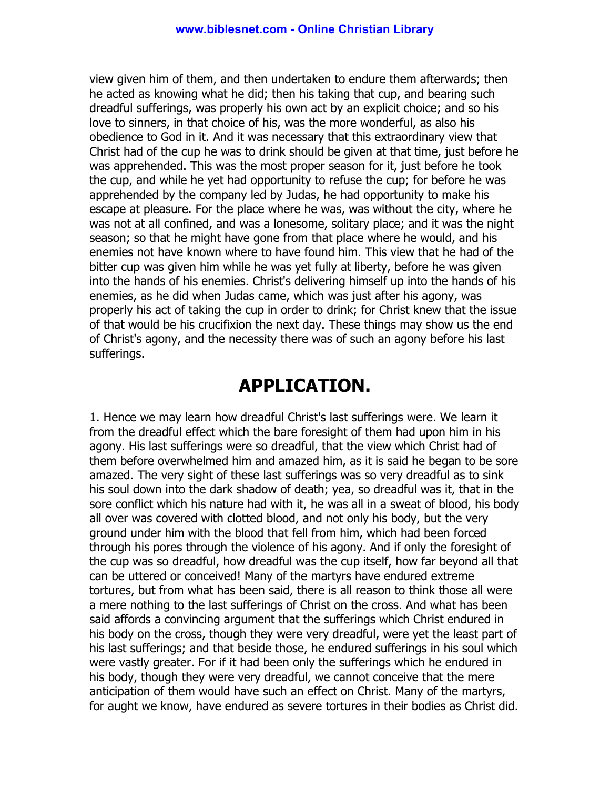view given him of them, and then undertaken to endure them afterwards; then he acted as knowing what he did; then his taking that cup, and bearing such dreadful sufferings, was properly his own act by an explicit choice; and so his love to sinners, in that choice of his, was the more wonderful, as also his obedience to God in it. And it was necessary that this extraordinary view that Christ had of the cup he was to drink should be given at that time, just before he was apprehended. This was the most proper season for it, just before he took the cup, and while he yet had opportunity to refuse the cup; for before he was apprehended by the company led by Judas, he had opportunity to make his escape at pleasure. For the place where he was, was without the city, where he was not at all confined, and was a lonesome, solitary place; and it was the night season; so that he might have gone from that place where he would, and his enemies not have known where to have found him. This view that he had of the bitter cup was given him while he was yet fully at liberty, before he was given into the hands of his enemies. Christ's delivering himself up into the hands of his enemies, as he did when Judas came, which was just after his agony, was properly his act of taking the cup in order to drink; for Christ knew that the issue of that would be his crucifixion the next day. These things may show us the end of Christ's agony, and the necessity there was of such an agony before his last sufferings.

### APPLICATION.

1. Hence we may learn how dreadful Christ's last sufferings were. We learn it from the dreadful effect which the bare foresight of them had upon him in his agony. His last sufferings were so dreadful, that the view which Christ had of them before overwhelmed him and amazed him, as it is said he began to be sore amazed. The very sight of these last sufferings was so very dreadful as to sink his soul down into the dark shadow of death; yea, so dreadful was it, that in the sore conflict which his nature had with it, he was all in a sweat of blood, his body all over was covered with clotted blood, and not only his body, but the very ground under him with the blood that fell from him, which had been forced through his pores through the violence of his agony. And if only the foresight of the cup was so dreadful, how dreadful was the cup itself, how far beyond all that can be uttered or conceived! Many of the martyrs have endured extreme tortures, but from what has been said, there is all reason to think those all were a mere nothing to the last sufferings of Christ on the cross. And what has been said affords a convincing argument that the sufferings which Christ endured in his body on the cross, though they were very dreadful, were yet the least part of his last sufferings; and that beside those, he endured sufferings in his soul which were vastly greater. For if it had been only the sufferings which he endured in his body, though they were very dreadful, we cannot conceive that the mere anticipation of them would have such an effect on Christ. Many of the martyrs, for aught we know, have endured as severe tortures in their bodies as Christ did.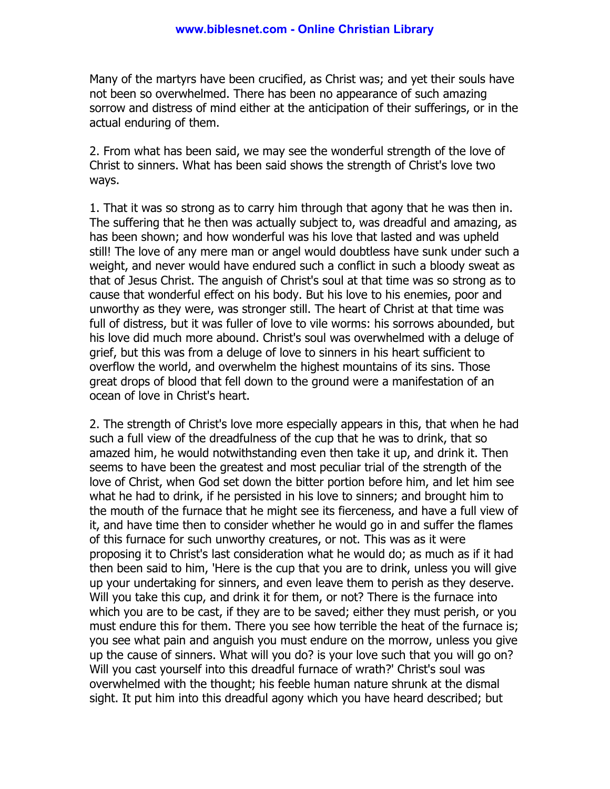Many of the martyrs have been crucified, as Christ was; and yet their souls have not been so overwhelmed. There has been no appearance of such amazing sorrow and distress of mind either at the anticipation of their sufferings, or in the actual enduring of them.

2. From what has been said, we may see the wonderful strength of the love of Christ to sinners. What has been said shows the strength of Christ's love two ways.

1. That it was so strong as to carry him through that agony that he was then in. The suffering that he then was actually subject to, was dreadful and amazing, as has been shown; and how wonderful was his love that lasted and was upheld still! The love of any mere man or angel would doubtless have sunk under such a weight, and never would have endured such a conflict in such a bloody sweat as that of Jesus Christ. The anguish of Christ's soul at that time was so strong as to cause that wonderful effect on his body. But his love to his enemies, poor and unworthy as they were, was stronger still. The heart of Christ at that time was full of distress, but it was fuller of love to vile worms: his sorrows abounded, but his love did much more abound. Christ's soul was overwhelmed with a deluge of grief, but this was from a deluge of love to sinners in his heart sufficient to overflow the world, and overwhelm the highest mountains of its sins. Those great drops of blood that fell down to the ground were a manifestation of an ocean of love in Christ's heart.

2. The strength of Christ's love more especially appears in this, that when he had such a full view of the dreadfulness of the cup that he was to drink, that so amazed him, he would notwithstanding even then take it up, and drink it. Then seems to have been the greatest and most peculiar trial of the strength of the love of Christ, when God set down the bitter portion before him, and let him see what he had to drink, if he persisted in his love to sinners; and brought him to the mouth of the furnace that he might see its fierceness, and have a full view of it, and have time then to consider whether he would go in and suffer the flames of this furnace for such unworthy creatures, or not. This was as it were proposing it to Christ's last consideration what he would do; as much as if it had then been said to him, 'Here is the cup that you are to drink, unless you will give up your undertaking for sinners, and even leave them to perish as they deserve. Will you take this cup, and drink it for them, or not? There is the furnace into which you are to be cast, if they are to be saved; either they must perish, or you must endure this for them. There you see how terrible the heat of the furnace is; you see what pain and anguish you must endure on the morrow, unless you give up the cause of sinners. What will you do? is your love such that you will go on? Will you cast yourself into this dreadful furnace of wrath?' Christ's soul was overwhelmed with the thought; his feeble human nature shrunk at the dismal sight. It put him into this dreadful agony which you have heard described; but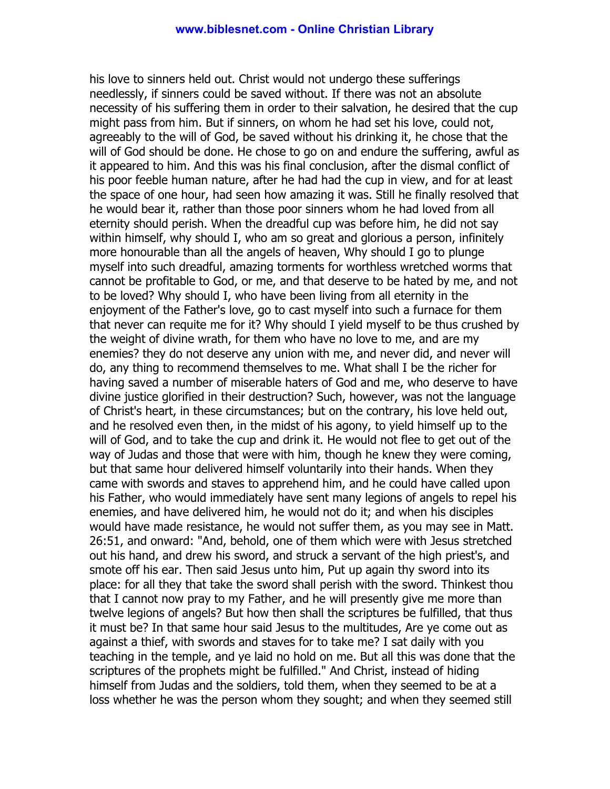his love to sinners held out. Christ would not undergo these sufferings needlessly, if sinners could be saved without. If there was not an absolute necessity of his suffering them in order to their salvation, he desired that the cup might pass from him. But if sinners, on whom he had set his love, could not, agreeably to the will of God, be saved without his drinking it, he chose that the will of God should be done. He chose to go on and endure the suffering, awful as it appeared to him. And this was his final conclusion, after the dismal conflict of his poor feeble human nature, after he had had the cup in view, and for at least the space of one hour, had seen how amazing it was. Still he finally resolved that he would bear it, rather than those poor sinners whom he had loved from all eternity should perish. When the dreadful cup was before him, he did not say within himself, why should I, who am so great and glorious a person, infinitely more honourable than all the angels of heaven, Why should I go to plunge myself into such dreadful, amazing torments for worthless wretched worms that cannot be profitable to God, or me, and that deserve to be hated by me, and not to be loved? Why should I, who have been living from all eternity in the enjoyment of the Father's love, go to cast myself into such a furnace for them that never can requite me for it? Why should I yield myself to be thus crushed by the weight of divine wrath, for them who have no love to me, and are my enemies? they do not deserve any union with me, and never did, and never will do, any thing to recommend themselves to me. What shall I be the richer for having saved a number of miserable haters of God and me, who deserve to have divine justice glorified in their destruction? Such, however, was not the language of Christ's heart, in these circumstances; but on the contrary, his love held out, and he resolved even then, in the midst of his agony, to yield himself up to the will of God, and to take the cup and drink it. He would not flee to get out of the way of Judas and those that were with him, though he knew they were coming, but that same hour delivered himself voluntarily into their hands. When they came with swords and staves to apprehend him, and he could have called upon his Father, who would immediately have sent many legions of angels to repel his enemies, and have delivered him, he would not do it; and when his disciples would have made resistance, he would not suffer them, as you may see in Matt. 26:51, and onward: "And, behold, one of them which were with Jesus stretched out his hand, and drew his sword, and struck a servant of the high priest's, and smote off his ear. Then said Jesus unto him, Put up again thy sword into its place: for all they that take the sword shall perish with the sword. Thinkest thou that I cannot now pray to my Father, and he will presently give me more than twelve legions of angels? But how then shall the scriptures be fulfilled, that thus it must be? In that same hour said Jesus to the multitudes, Are ye come out as against a thief, with swords and staves for to take me? I sat daily with you teaching in the temple, and ye laid no hold on me. But all this was done that the scriptures of the prophets might be fulfilled." And Christ, instead of hiding himself from Judas and the soldiers, told them, when they seemed to be at a loss whether he was the person whom they sought; and when they seemed still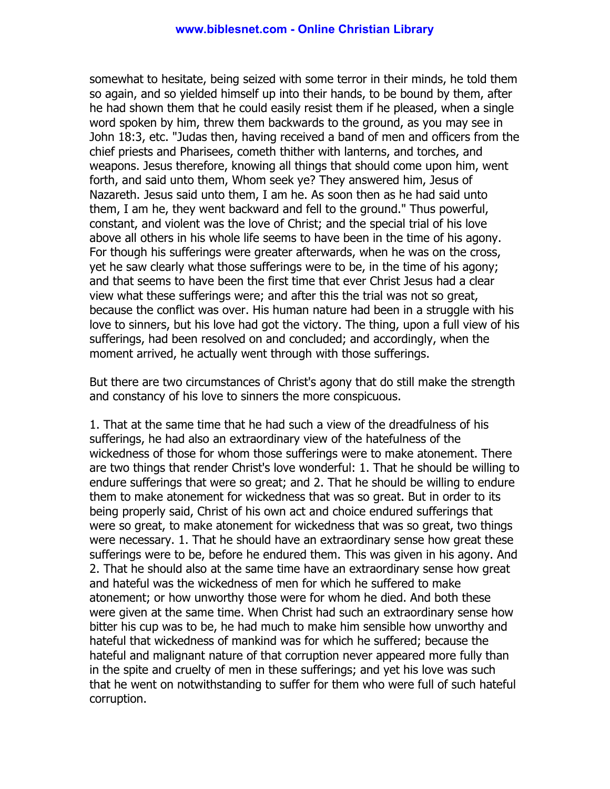somewhat to hesitate, being seized with some terror in their minds, he told them so again, and so yielded himself up into their hands, to be bound by them, after he had shown them that he could easily resist them if he pleased, when a single word spoken by him, threw them backwards to the ground, as you may see in John 18:3, etc. "Judas then, having received a band of men and officers from the chief priests and Pharisees, cometh thither with lanterns, and torches, and weapons. Jesus therefore, knowing all things that should come upon him, went forth, and said unto them, Whom seek ye? They answered him, Jesus of Nazareth. Jesus said unto them, I am he. As soon then as he had said unto them, I am he, they went backward and fell to the ground." Thus powerful, constant, and violent was the love of Christ; and the special trial of his love above all others in his whole life seems to have been in the time of his agony. For though his sufferings were greater afterwards, when he was on the cross, yet he saw clearly what those sufferings were to be, in the time of his agony; and that seems to have been the first time that ever Christ Jesus had a clear view what these sufferings were; and after this the trial was not so great, because the conflict was over. His human nature had been in a struggle with his love to sinners, but his love had got the victory. The thing, upon a full view of his sufferings, had been resolved on and concluded; and accordingly, when the moment arrived, he actually went through with those sufferings.

But there are two circumstances of Christ's agony that do still make the strength and constancy of his love to sinners the more conspicuous.

1. That at the same time that he had such a view of the dreadfulness of his sufferings, he had also an extraordinary view of the hatefulness of the wickedness of those for whom those sufferings were to make atonement. There are two things that render Christ's love wonderful: 1. That he should be willing to endure sufferings that were so great; and 2. That he should be willing to endure them to make atonement for wickedness that was so great. But in order to its being properly said, Christ of his own act and choice endured sufferings that were so great, to make atonement for wickedness that was so great, two things were necessary. 1. That he should have an extraordinary sense how great these sufferings were to be, before he endured them. This was given in his agony. And 2. That he should also at the same time have an extraordinary sense how great and hateful was the wickedness of men for which he suffered to make atonement; or how unworthy those were for whom he died. And both these were given at the same time. When Christ had such an extraordinary sense how bitter his cup was to be, he had much to make him sensible how unworthy and hateful that wickedness of mankind was for which he suffered; because the hateful and malignant nature of that corruption never appeared more fully than in the spite and cruelty of men in these sufferings; and yet his love was such that he went on notwithstanding to suffer for them who were full of such hateful corruption.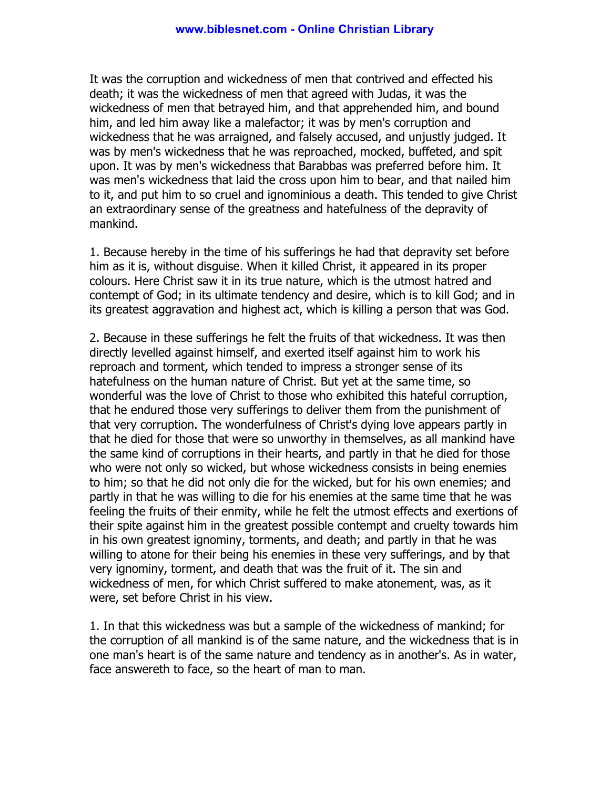It was the corruption and wickedness of men that contrived and effected his death; it was the wickedness of men that agreed with Judas, it was the wickedness of men that betrayed him, and that apprehended him, and bound him, and led him away like a malefactor; it was by men's corruption and wickedness that he was arraigned, and falsely accused, and unjustly judged. It was by men's wickedness that he was reproached, mocked, buffeted, and spit upon. It was by men's wickedness that Barabbas was preferred before him. It was men's wickedness that laid the cross upon him to bear, and that nailed him to it, and put him to so cruel and ignominious a death. This tended to give Christ an extraordinary sense of the greatness and hatefulness of the depravity of mankind.

1. Because hereby in the time of his sufferings he had that depravity set before him as it is, without disguise. When it killed Christ, it appeared in its proper colours. Here Christ saw it in its true nature, which is the utmost hatred and contempt of God; in its ultimate tendency and desire, which is to kill God; and in its greatest aggravation and highest act, which is killing a person that was God.

2. Because in these sufferings he felt the fruits of that wickedness. It was then directly levelled against himself, and exerted itself against him to work his reproach and torment, which tended to impress a stronger sense of its hatefulness on the human nature of Christ. But yet at the same time, so wonderful was the love of Christ to those who exhibited this hateful corruption, that he endured those very sufferings to deliver them from the punishment of that very corruption. The wonderfulness of Christ's dying love appears partly in that he died for those that were so unworthy in themselves, as all mankind have the same kind of corruptions in their hearts, and partly in that he died for those who were not only so wicked, but whose wickedness consists in being enemies to him; so that he did not only die for the wicked, but for his own enemies; and partly in that he was willing to die for his enemies at the same time that he was feeling the fruits of their enmity, while he felt the utmost effects and exertions of their spite against him in the greatest possible contempt and cruelty towards him in his own greatest ignominy, torments, and death; and partly in that he was willing to atone for their being his enemies in these very sufferings, and by that very ignominy, torment, and death that was the fruit of it. The sin and wickedness of men, for which Christ suffered to make atonement, was, as it were, set before Christ in his view.

1. In that this wickedness was but a sample of the wickedness of mankind; for the corruption of all mankind is of the same nature, and the wickedness that is in one man's heart is of the same nature and tendency as in another's. As in water, face answereth to face, so the heart of man to man.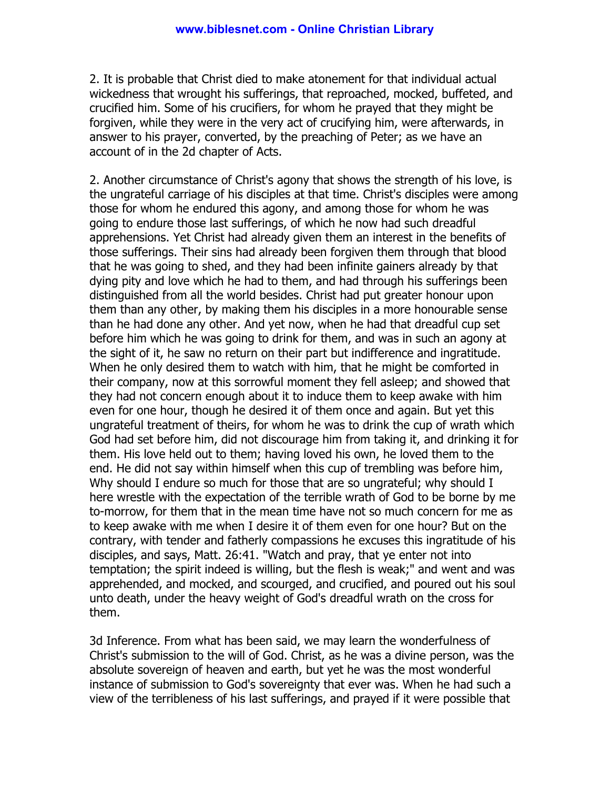2. It is probable that Christ died to make atonement for that individual actual wickedness that wrought his sufferings, that reproached, mocked, buffeted, and crucified him. Some of his crucifiers, for whom he prayed that they might be forgiven, while they were in the very act of crucifying him, were afterwards, in answer to his prayer, converted, by the preaching of Peter; as we have an account of in the 2d chapter of Acts.

2. Another circumstance of Christ's agony that shows the strength of his love, is the ungrateful carriage of his disciples at that time. Christ's disciples were among those for whom he endured this agony, and among those for whom he was going to endure those last sufferings, of which he now had such dreadful apprehensions. Yet Christ had already given them an interest in the benefits of those sufferings. Their sins had already been forgiven them through that blood that he was going to shed, and they had been infinite gainers already by that dying pity and love which he had to them, and had through his sufferings been distinguished from all the world besides. Christ had put greater honour upon them than any other, by making them his disciples in a more honourable sense than he had done any other. And yet now, when he had that dreadful cup set before him which he was going to drink for them, and was in such an agony at the sight of it, he saw no return on their part but indifference and ingratitude. When he only desired them to watch with him, that he might be comforted in their company, now at this sorrowful moment they fell asleep; and showed that they had not concern enough about it to induce them to keep awake with him even for one hour, though he desired it of them once and again. But yet this ungrateful treatment of theirs, for whom he was to drink the cup of wrath which God had set before him, did not discourage him from taking it, and drinking it for them. His love held out to them; having loved his own, he loved them to the end. He did not say within himself when this cup of trembling was before him, Why should I endure so much for those that are so ungrateful; why should I here wrestle with the expectation of the terrible wrath of God to be borne by me to-morrow, for them that in the mean time have not so much concern for me as to keep awake with me when I desire it of them even for one hour? But on the contrary, with tender and fatherly compassions he excuses this ingratitude of his disciples, and says, Matt. 26:41. "Watch and pray, that ye enter not into temptation; the spirit indeed is willing, but the flesh is weak;" and went and was apprehended, and mocked, and scourged, and crucified, and poured out his soul unto death, under the heavy weight of God's dreadful wrath on the cross for them.

3d Inference. From what has been said, we may learn the wonderfulness of Christ's submission to the will of God. Christ, as he was a divine person, was the absolute sovereign of heaven and earth, but yet he was the most wonderful instance of submission to God's sovereignty that ever was. When he had such a view of the terribleness of his last sufferings, and prayed if it were possible that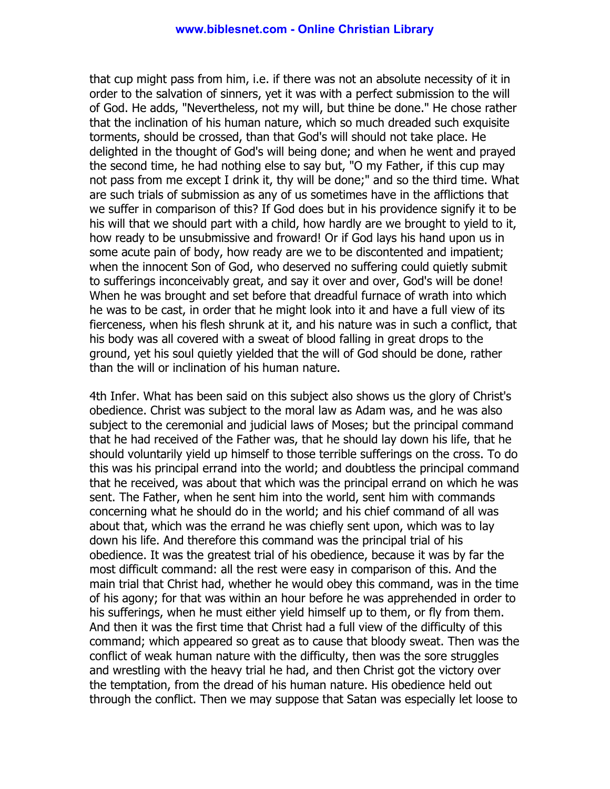that cup might pass from him, i.e. if there was not an absolute necessity of it in order to the salvation of sinners, yet it was with a perfect submission to the will of God. He adds, "Nevertheless, not my will, but thine be done." He chose rather that the inclination of his human nature, which so much dreaded such exquisite torments, should be crossed, than that God's will should not take place. He delighted in the thought of God's will being done; and when he went and prayed the second time, he had nothing else to say but, "O my Father, if this cup may not pass from me except I drink it, thy will be done;" and so the third time. What are such trials of submission as any of us sometimes have in the afflictions that we suffer in comparison of this? If God does but in his providence signify it to be his will that we should part with a child, how hardly are we brought to yield to it, how ready to be unsubmissive and froward! Or if God lays his hand upon us in some acute pain of body, how ready are we to be discontented and impatient; when the innocent Son of God, who deserved no suffering could quietly submit to sufferings inconceivably great, and say it over and over, God's will be done! When he was brought and set before that dreadful furnace of wrath into which he was to be cast, in order that he might look into it and have a full view of its fierceness, when his flesh shrunk at it, and his nature was in such a conflict, that his body was all covered with a sweat of blood falling in great drops to the ground, yet his soul quietly yielded that the will of God should be done, rather than the will or inclination of his human nature.

4th Infer. What has been said on this subject also shows us the glory of Christ's obedience. Christ was subject to the moral law as Adam was, and he was also subject to the ceremonial and judicial laws of Moses; but the principal command that he had received of the Father was, that he should lay down his life, that he should voluntarily yield up himself to those terrible sufferings on the cross. To do this was his principal errand into the world; and doubtless the principal command that he received, was about that which was the principal errand on which he was sent. The Father, when he sent him into the world, sent him with commands concerning what he should do in the world; and his chief command of all was about that, which was the errand he was chiefly sent upon, which was to lay down his life. And therefore this command was the principal trial of his obedience. It was the greatest trial of his obedience, because it was by far the most difficult command: all the rest were easy in comparison of this. And the main trial that Christ had, whether he would obey this command, was in the time of his agony; for that was within an hour before he was apprehended in order to his sufferings, when he must either yield himself up to them, or fly from them. And then it was the first time that Christ had a full view of the difficulty of this command; which appeared so great as to cause that bloody sweat. Then was the conflict of weak human nature with the difficulty, then was the sore struggles and wrestling with the heavy trial he had, and then Christ got the victory over the temptation, from the dread of his human nature. His obedience held out through the conflict. Then we may suppose that Satan was especially let loose to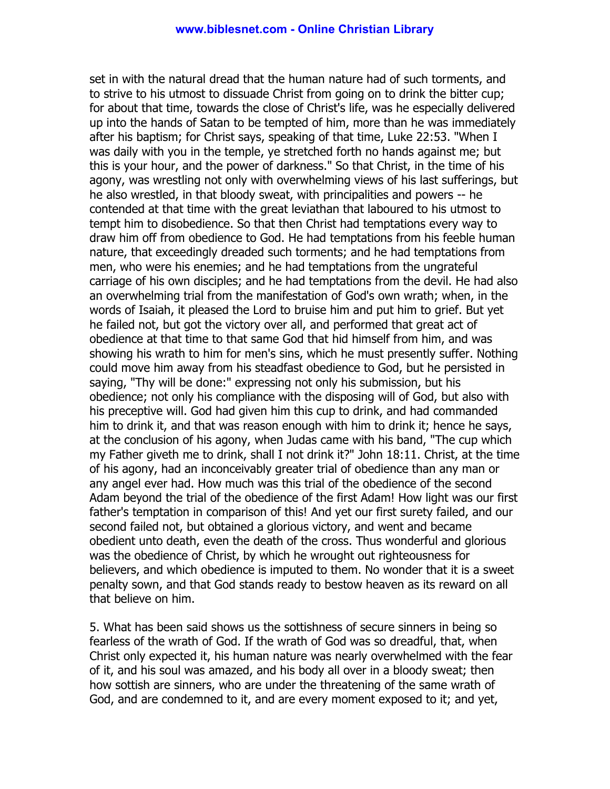set in with the natural dread that the human nature had of such torments, and to strive to his utmost to dissuade Christ from going on to drink the bitter cup; for about that time, towards the close of Christ's life, was he especially delivered up into the hands of Satan to be tempted of him, more than he was immediately after his baptism; for Christ says, speaking of that time, Luke 22:53. "When I was daily with you in the temple, ye stretched forth no hands against me; but this is your hour, and the power of darkness." So that Christ, in the time of his agony, was wrestling not only with overwhelming views of his last sufferings, but he also wrestled, in that bloody sweat, with principalities and powers -- he contended at that time with the great leviathan that laboured to his utmost to tempt him to disobedience. So that then Christ had temptations every way to draw him off from obedience to God. He had temptations from his feeble human nature, that exceedingly dreaded such torments; and he had temptations from men, who were his enemies; and he had temptations from the ungrateful carriage of his own disciples; and he had temptations from the devil. He had also an overwhelming trial from the manifestation of God's own wrath; when, in the words of Isaiah, it pleased the Lord to bruise him and put him to grief. But yet he failed not, but got the victory over all, and performed that great act of obedience at that time to that same God that hid himself from him, and was showing his wrath to him for men's sins, which he must presently suffer. Nothing could move him away from his steadfast obedience to God, but he persisted in saying, "Thy will be done:" expressing not only his submission, but his obedience; not only his compliance with the disposing will of God, but also with his preceptive will. God had given him this cup to drink, and had commanded him to drink it, and that was reason enough with him to drink it; hence he says, at the conclusion of his agony, when Judas came with his band, "The cup which my Father giveth me to drink, shall I not drink it?" John 18:11. Christ, at the time of his agony, had an inconceivably greater trial of obedience than any man or any angel ever had. How much was this trial of the obedience of the second Adam beyond the trial of the obedience of the first Adam! How light was our first father's temptation in comparison of this! And yet our first surety failed, and our second failed not, but obtained a glorious victory, and went and became obedient unto death, even the death of the cross. Thus wonderful and glorious was the obedience of Christ, by which he wrought out righteousness for believers, and which obedience is imputed to them. No wonder that it is a sweet penalty sown, and that God stands ready to bestow heaven as its reward on all that believe on him.

5. What has been said shows us the sottishness of secure sinners in being so fearless of the wrath of God. If the wrath of God was so dreadful, that, when Christ only expected it, his human nature was nearly overwhelmed with the fear of it, and his soul was amazed, and his body all over in a bloody sweat; then how sottish are sinners, who are under the threatening of the same wrath of God, and are condemned to it, and are every moment exposed to it; and yet,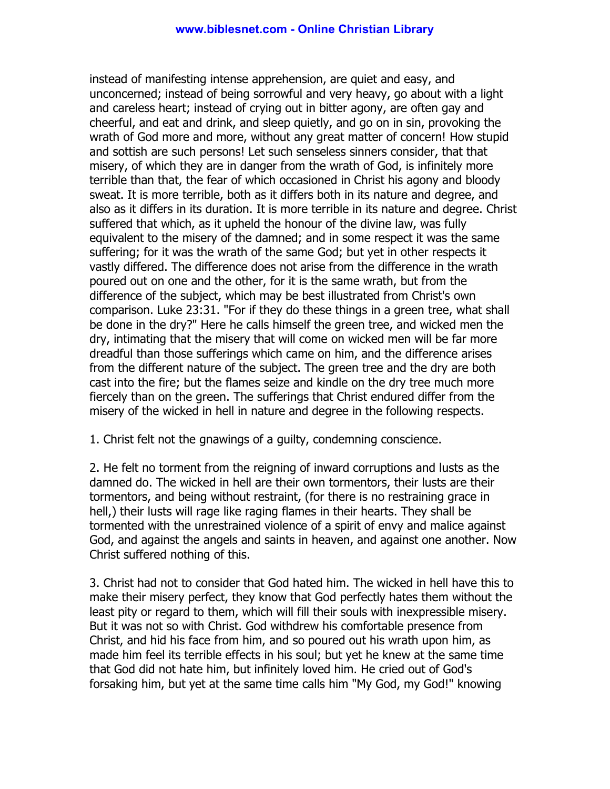instead of manifesting intense apprehension, are quiet and easy, and unconcerned; instead of being sorrowful and very heavy, go about with a light and careless heart; instead of crying out in bitter agony, are often gay and cheerful, and eat and drink, and sleep quietly, and go on in sin, provoking the wrath of God more and more, without any great matter of concern! How stupid and sottish are such persons! Let such senseless sinners consider, that that misery, of which they are in danger from the wrath of God, is infinitely more terrible than that, the fear of which occasioned in Christ his agony and bloody sweat. It is more terrible, both as it differs both in its nature and degree, and also as it differs in its duration. It is more terrible in its nature and degree. Christ suffered that which, as it upheld the honour of the divine law, was fully equivalent to the misery of the damned; and in some respect it was the same suffering; for it was the wrath of the same God; but yet in other respects it vastly differed. The difference does not arise from the difference in the wrath poured out on one and the other, for it is the same wrath, but from the difference of the subject, which may be best illustrated from Christ's own comparison. Luke 23:31. "For if they do these things in a green tree, what shall be done in the dry?" Here he calls himself the green tree, and wicked men the dry, intimating that the misery that will come on wicked men will be far more dreadful than those sufferings which came on him, and the difference arises from the different nature of the subject. The green tree and the dry are both cast into the fire; but the flames seize and kindle on the dry tree much more fiercely than on the green. The sufferings that Christ endured differ from the misery of the wicked in hell in nature and degree in the following respects.

1. Christ felt not the gnawings of a guilty, condemning conscience.

2. He felt no torment from the reigning of inward corruptions and lusts as the damned do. The wicked in hell are their own tormentors, their lusts are their tormentors, and being without restraint, (for there is no restraining grace in hell,) their lusts will rage like raging flames in their hearts. They shall be tormented with the unrestrained violence of a spirit of envy and malice against God, and against the angels and saints in heaven, and against one another. Now Christ suffered nothing of this.

3. Christ had not to consider that God hated him. The wicked in hell have this to make their misery perfect, they know that God perfectly hates them without the least pity or regard to them, which will fill their souls with inexpressible misery. But it was not so with Christ. God withdrew his comfortable presence from Christ, and hid his face from him, and so poured out his wrath upon him, as made him feel its terrible effects in his soul; but yet he knew at the same time that God did not hate him, but infinitely loved him. He cried out of God's forsaking him, but yet at the same time calls him "My God, my God!" knowing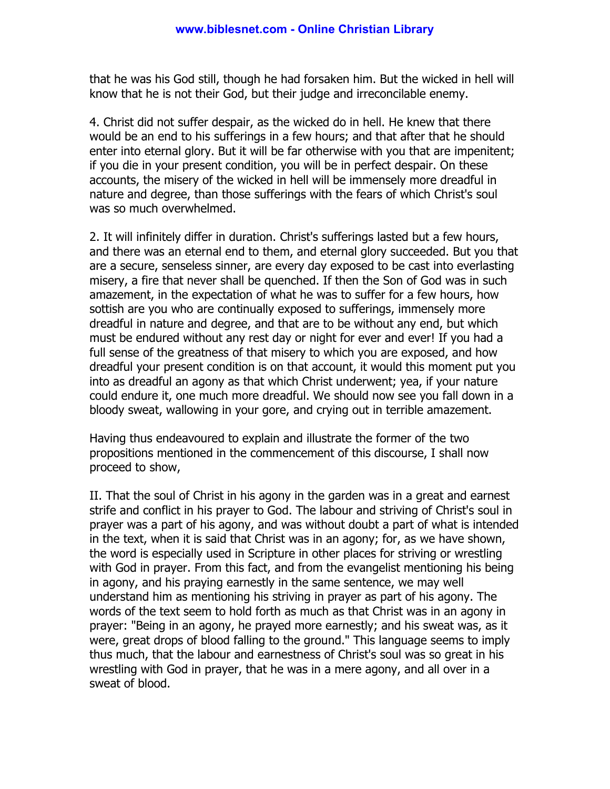that he was his God still, though he had forsaken him. But the wicked in hell will know that he is not their God, but their judge and irreconcilable enemy.

4. Christ did not suffer despair, as the wicked do in hell. He knew that there would be an end to his sufferings in a few hours; and that after that he should enter into eternal glory. But it will be far otherwise with you that are impenitent; if you die in your present condition, you will be in perfect despair. On these accounts, the misery of the wicked in hell will be immensely more dreadful in nature and degree, than those sufferings with the fears of which Christ's soul was so much overwhelmed.

2. It will infinitely differ in duration. Christ's sufferings lasted but a few hours, and there was an eternal end to them, and eternal glory succeeded. But you that are a secure, senseless sinner, are every day exposed to be cast into everlasting misery, a fire that never shall be quenched. If then the Son of God was in such amazement, in the expectation of what he was to suffer for a few hours, how sottish are you who are continually exposed to sufferings, immensely more dreadful in nature and degree, and that are to be without any end, but which must be endured without any rest day or night for ever and ever! If you had a full sense of the greatness of that misery to which you are exposed, and how dreadful your present condition is on that account, it would this moment put you into as dreadful an agony as that which Christ underwent; yea, if your nature could endure it, one much more dreadful. We should now see you fall down in a bloody sweat, wallowing in your gore, and crying out in terrible amazement.

Having thus endeavoured to explain and illustrate the former of the two propositions mentioned in the commencement of this discourse, I shall now proceed to show,

II. That the soul of Christ in his agony in the garden was in a great and earnest strife and conflict in his prayer to God. The labour and striving of Christ's soul in prayer was a part of his agony, and was without doubt a part of what is intended in the text, when it is said that Christ was in an agony; for, as we have shown, the word is especially used in Scripture in other places for striving or wrestling with God in prayer. From this fact, and from the evangelist mentioning his being in agony, and his praying earnestly in the same sentence, we may well understand him as mentioning his striving in prayer as part of his agony. The words of the text seem to hold forth as much as that Christ was in an agony in prayer: "Being in an agony, he prayed more earnestly; and his sweat was, as it were, great drops of blood falling to the ground." This language seems to imply thus much, that the labour and earnestness of Christ's soul was so great in his wrestling with God in prayer, that he was in a mere agony, and all over in a sweat of blood.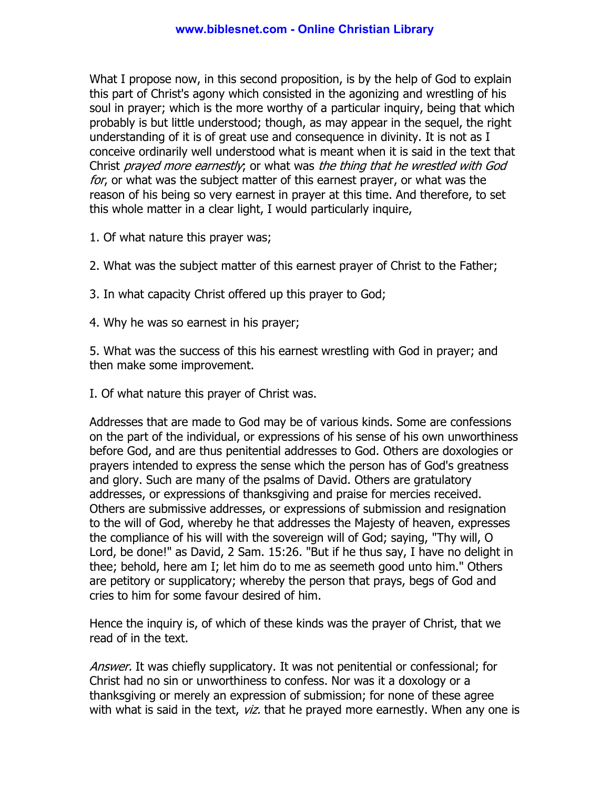What I propose now, in this second proposition, is by the help of God to explain this part of Christ's agony which consisted in the agonizing and wrestling of his soul in prayer; which is the more worthy of a particular inquiry, being that which probably is but little understood; though, as may appear in the sequel, the right understanding of it is of great use and consequence in divinity. It is not as I conceive ordinarily well understood what is meant when it is said in the text that Christ *prayed more earnestly*; or what was *the thing that he wrestled with God* for, or what was the subject matter of this earnest prayer, or what was the reason of his being so very earnest in prayer at this time. And therefore, to set this whole matter in a clear light, I would particularly inquire,

1. Of what nature this prayer was;

2. What was the subject matter of this earnest prayer of Christ to the Father;

3. In what capacity Christ offered up this prayer to God;

4. Why he was so earnest in his prayer;

5. What was the success of this his earnest wrestling with God in prayer; and then make some improvement.

I. Of what nature this prayer of Christ was.

Addresses that are made to God may be of various kinds. Some are confessions on the part of the individual, or expressions of his sense of his own unworthiness before God, and are thus penitential addresses to God. Others are doxologies or prayers intended to express the sense which the person has of God's greatness and glory. Such are many of the psalms of David. Others are gratulatory addresses, or expressions of thanksgiving and praise for mercies received. Others are submissive addresses, or expressions of submission and resignation to the will of God, whereby he that addresses the Majesty of heaven, expresses the compliance of his will with the sovereign will of God; saying, "Thy will, O Lord, be done!" as David, 2 Sam. 15:26. "But if he thus say, I have no delight in thee; behold, here am I; let him do to me as seemeth good unto him." Others are petitory or supplicatory; whereby the person that prays, begs of God and cries to him for some favour desired of him.

Hence the inquiry is, of which of these kinds was the prayer of Christ, that we read of in the text.

Answer. It was chiefly supplicatory. It was not penitential or confessional; for Christ had no sin or unworthiness to confess. Nor was it a doxology or a thanksgiving or merely an expression of submission; for none of these agree with what is said in the text, viz. that he prayed more earnestly. When any one is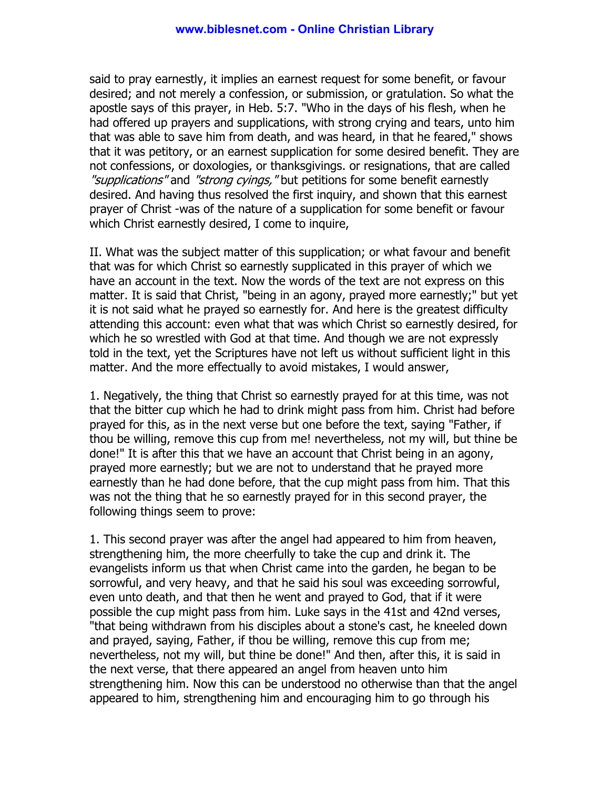said to pray earnestly, it implies an earnest request for some benefit, or favour desired; and not merely a confession, or submission, or gratulation. So what the apostle says of this prayer, in Heb. 5:7. "Who in the days of his flesh, when he had offered up prayers and supplications, with strong crying and tears, unto him that was able to save him from death, and was heard, in that he feared," shows that it was petitory, or an earnest supplication for some desired benefit. They are not confessions, or doxologies, or thanksgivings. or resignations, that are called "supplications" and "strong cyings," but petitions for some benefit earnestly desired. And having thus resolved the first inquiry, and shown that this earnest prayer of Christ -was of the nature of a supplication for some benefit or favour which Christ earnestly desired, I come to inquire,

II. What was the subject matter of this supplication; or what favour and benefit that was for which Christ so earnestly supplicated in this prayer of which we have an account in the text. Now the words of the text are not express on this matter. It is said that Christ, "being in an agony, prayed more earnestly;" but yet it is not said what he prayed so earnestly for. And here is the greatest difficulty attending this account: even what that was which Christ so earnestly desired, for which he so wrestled with God at that time. And though we are not expressly told in the text, yet the Scriptures have not left us without sufficient light in this matter. And the more effectually to avoid mistakes, I would answer,

1. Negatively, the thing that Christ so earnestly prayed for at this time, was not that the bitter cup which he had to drink might pass from him. Christ had before prayed for this, as in the next verse but one before the text, saying "Father, if thou be willing, remove this cup from me! nevertheless, not my will, but thine be done!" It is after this that we have an account that Christ being in an agony, prayed more earnestly; but we are not to understand that he prayed more earnestly than he had done before, that the cup might pass from him. That this was not the thing that he so earnestly prayed for in this second prayer, the following things seem to prove:

1. This second prayer was after the angel had appeared to him from heaven, strengthening him, the more cheerfully to take the cup and drink it. The evangelists inform us that when Christ came into the garden, he began to be sorrowful, and very heavy, and that he said his soul was exceeding sorrowful, even unto death, and that then he went and prayed to God, that if it were possible the cup might pass from him. Luke says in the 41st and 42nd verses, "that being withdrawn from his disciples about a stone's cast, he kneeled down and prayed, saying, Father, if thou be willing, remove this cup from me; nevertheless, not my will, but thine be done!" And then, after this, it is said in the next verse, that there appeared an angel from heaven unto him strengthening him. Now this can be understood no otherwise than that the angel appeared to him, strengthening him and encouraging him to go through his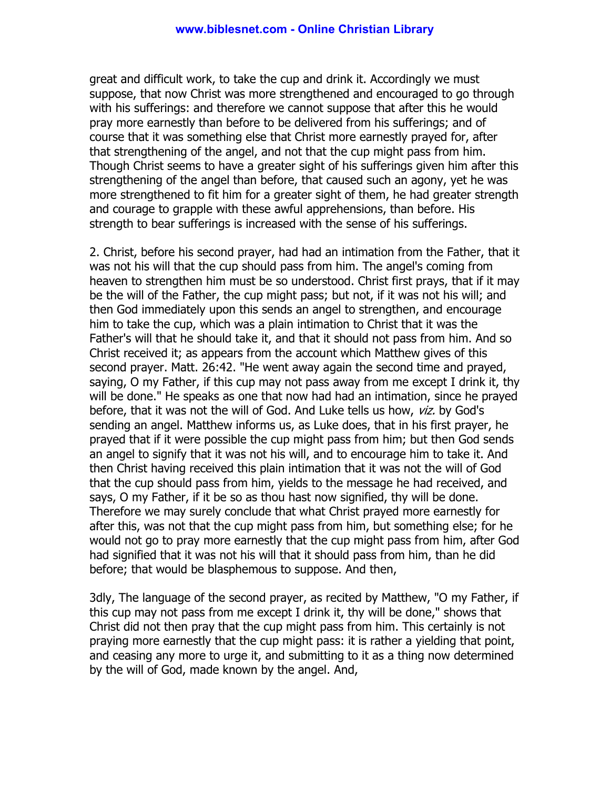great and difficult work, to take the cup and drink it. Accordingly we must suppose, that now Christ was more strengthened and encouraged to go through with his sufferings: and therefore we cannot suppose that after this he would pray more earnestly than before to be delivered from his sufferings; and of course that it was something else that Christ more earnestly prayed for, after that strengthening of the angel, and not that the cup might pass from him. Though Christ seems to have a greater sight of his sufferings given him after this strengthening of the angel than before, that caused such an agony, yet he was more strengthened to fit him for a greater sight of them, he had greater strength and courage to grapple with these awful apprehensions, than before. His strength to bear sufferings is increased with the sense of his sufferings.

2. Christ, before his second prayer, had had an intimation from the Father, that it was not his will that the cup should pass from him. The angel's coming from heaven to strengthen him must be so understood. Christ first prays, that if it may be the will of the Father, the cup might pass; but not, if it was not his will; and then God immediately upon this sends an angel to strengthen, and encourage him to take the cup, which was a plain intimation to Christ that it was the Father's will that he should take it, and that it should not pass from him. And so Christ received it; as appears from the account which Matthew gives of this second prayer. Matt. 26:42. "He went away again the second time and prayed, saying, O my Father, if this cup may not pass away from me except I drink it, thy will be done." He speaks as one that now had had an intimation, since he prayed before, that it was not the will of God. And Luke tells us how, viz. by God's sending an angel. Matthew informs us, as Luke does, that in his first prayer, he prayed that if it were possible the cup might pass from him; but then God sends an angel to signify that it was not his will, and to encourage him to take it. And then Christ having received this plain intimation that it was not the will of God that the cup should pass from him, yields to the message he had received, and says, O my Father, if it be so as thou hast now signified, thy will be done. Therefore we may surely conclude that what Christ prayed more earnestly for after this, was not that the cup might pass from him, but something else; for he would not go to pray more earnestly that the cup might pass from him, after God had signified that it was not his will that it should pass from him, than he did before; that would be blasphemous to suppose. And then,

3dly, The language of the second prayer, as recited by Matthew, "O my Father, if this cup may not pass from me except I drink it, thy will be done," shows that Christ did not then pray that the cup might pass from him. This certainly is not praying more earnestly that the cup might pass: it is rather a yielding that point, and ceasing any more to urge it, and submitting to it as a thing now determined by the will of God, made known by the angel. And,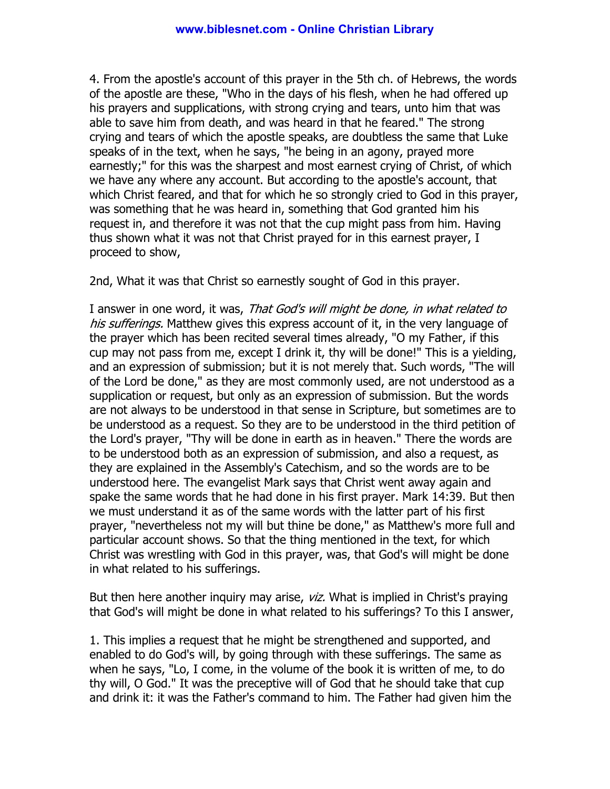4. From the apostle's account of this prayer in the 5th ch. of Hebrews, the words of the apostle are these, "Who in the days of his flesh, when he had offered up his prayers and supplications, with strong crying and tears, unto him that was able to save him from death, and was heard in that he feared." The strong crying and tears of which the apostle speaks, are doubtless the same that Luke speaks of in the text, when he says, "he being in an agony, prayed more earnestly;" for this was the sharpest and most earnest crying of Christ, of which we have any where any account. But according to the apostle's account, that which Christ feared, and that for which he so strongly cried to God in this prayer, was something that he was heard in, something that God granted him his request in, and therefore it was not that the cup might pass from him. Having thus shown what it was not that Christ prayed for in this earnest prayer, I proceed to show,

2nd, What it was that Christ so earnestly sought of God in this prayer.

I answer in one word, it was, That God's will might be done, in what related to his sufferings. Matthew gives this express account of it, in the very language of the prayer which has been recited several times already, "O my Father, if this cup may not pass from me, except I drink it, thy will be done!" This is a yielding, and an expression of submission; but it is not merely that. Such words, "The will of the Lord be done," as they are most commonly used, are not understood as a supplication or request, but only as an expression of submission. But the words are not always to be understood in that sense in Scripture, but sometimes are to be understood as a request. So they are to be understood in the third petition of the Lord's prayer, "Thy will be done in earth as in heaven." There the words are to be understood both as an expression of submission, and also a request, as they are explained in the Assembly's Catechism, and so the words are to be understood here. The evangelist Mark says that Christ went away again and spake the same words that he had done in his first prayer. Mark 14:39. But then we must understand it as of the same words with the latter part of his first prayer, "nevertheless not my will but thine be done," as Matthew's more full and particular account shows. So that the thing mentioned in the text, for which Christ was wrestling with God in this prayer, was, that God's will might be done in what related to his sufferings.

But then here another inquiry may arise, viz. What is implied in Christ's praving that God's will might be done in what related to his sufferings? To this I answer,

1. This implies a request that he might be strengthened and supported, and enabled to do God's will, by going through with these sufferings. The same as when he says, "Lo, I come, in the volume of the book it is written of me, to do thy will, O God." It was the preceptive will of God that he should take that cup and drink it: it was the Father's command to him. The Father had given him the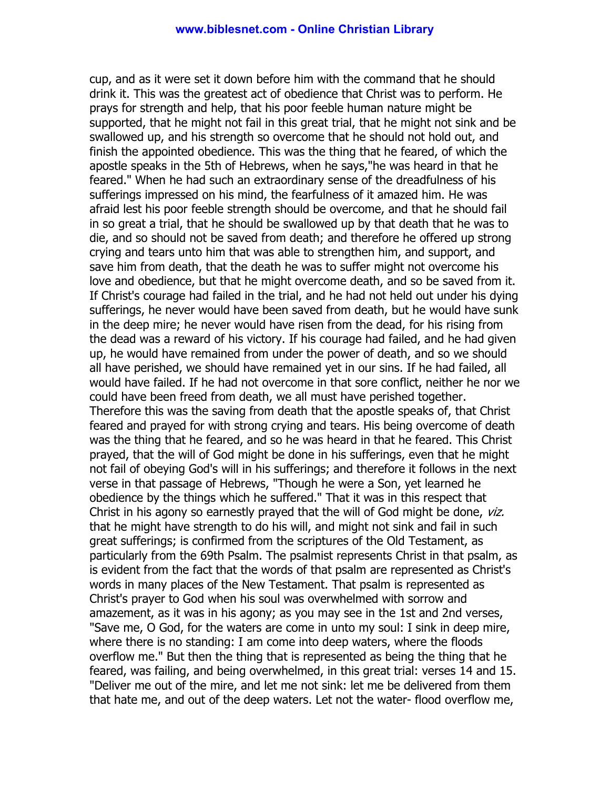cup, and as it were set it down before him with the command that he should drink it. This was the greatest act of obedience that Christ was to perform. He prays for strength and help, that his poor feeble human nature might be supported, that he might not fail in this great trial, that he might not sink and be swallowed up, and his strength so overcome that he should not hold out, and finish the appointed obedience. This was the thing that he feared, of which the apostle speaks in the 5th of Hebrews, when he says,"he was heard in that he feared." When he had such an extraordinary sense of the dreadfulness of his sufferings impressed on his mind, the fearfulness of it amazed him. He was afraid lest his poor feeble strength should be overcome, and that he should fail in so great a trial, that he should be swallowed up by that death that he was to die, and so should not be saved from death; and therefore he offered up strong crying and tears unto him that was able to strengthen him, and support, and save him from death, that the death he was to suffer might not overcome his love and obedience, but that he might overcome death, and so be saved from it. If Christ's courage had failed in the trial, and he had not held out under his dying sufferings, he never would have been saved from death, but he would have sunk in the deep mire; he never would have risen from the dead, for his rising from the dead was a reward of his victory. If his courage had failed, and he had given up, he would have remained from under the power of death, and so we should all have perished, we should have remained yet in our sins. If he had failed, all would have failed. If he had not overcome in that sore conflict, neither he nor we could have been freed from death, we all must have perished together. Therefore this was the saving from death that the apostle speaks of, that Christ feared and prayed for with strong crying and tears. His being overcome of death was the thing that he feared, and so he was heard in that he feared. This Christ prayed, that the will of God might be done in his sufferings, even that he might not fail of obeying God's will in his sufferings; and therefore it follows in the next verse in that passage of Hebrews, "Though he were a Son, yet learned he obedience by the things which he suffered." That it was in this respect that Christ in his agony so earnestly prayed that the will of God might be done, viz. that he might have strength to do his will, and might not sink and fail in such great sufferings; is confirmed from the scriptures of the Old Testament, as particularly from the 69th Psalm. The psalmist represents Christ in that psalm, as is evident from the fact that the words of that psalm are represented as Christ's words in many places of the New Testament. That psalm is represented as Christ's prayer to God when his soul was overwhelmed with sorrow and amazement, as it was in his agony; as you may see in the 1st and 2nd verses, "Save me, O God, for the waters are come in unto my soul: I sink in deep mire, where there is no standing: I am come into deep waters, where the floods overflow me." But then the thing that is represented as being the thing that he feared, was failing, and being overwhelmed, in this great trial: verses 14 and 15. "Deliver me out of the mire, and let me not sink: let me be delivered from them that hate me, and out of the deep waters. Let not the water- flood overflow me,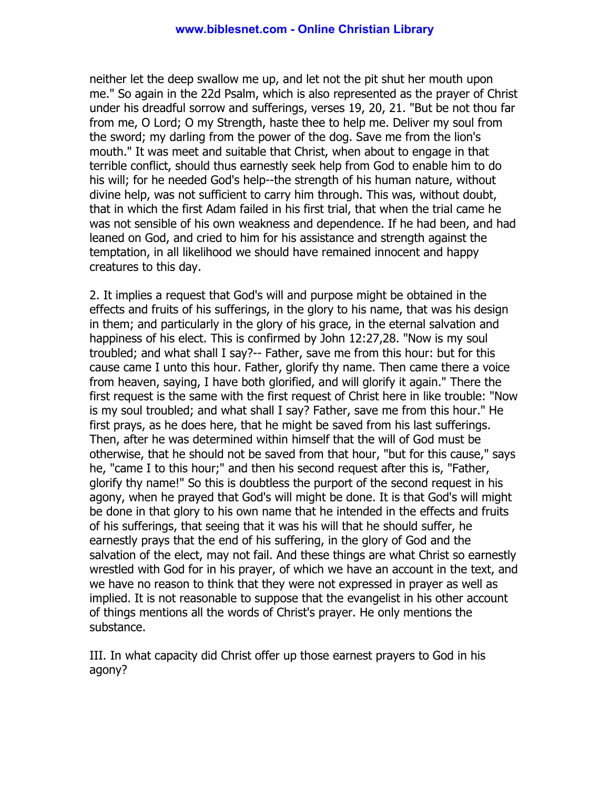neither let the deep swallow me up, and let not the pit shut her mouth upon me." So again in the 22d Psalm, which is also represented as the prayer of Christ under his dreadful sorrow and sufferings, verses 19, 20, 21. "But be not thou far from me, O Lord; O my Strength, haste thee to help me. Deliver my soul from the sword; my darling from the power of the dog. Save me from the lion's mouth." It was meet and suitable that Christ, when about to engage in that terrible conflict, should thus earnestly seek help from God to enable him to do his will; for he needed God's help--the strength of his human nature, without divine help, was not sufficient to carry him through. This was, without doubt, that in which the first Adam failed in his first trial, that when the trial came he was not sensible of his own weakness and dependence. If he had been, and had leaned on God, and cried to him for his assistance and strength against the temptation, in all likelihood we should have remained innocent and happy creatures to this day.

2. It implies a request that God's will and purpose might be obtained in the effects and fruits of his sufferings, in the glory to his name, that was his design in them; and particularly in the glory of his grace, in the eternal salvation and happiness of his elect. This is confirmed by John 12:27,28. "Now is my soul troubled; and what shall I say?-- Father, save me from this hour: but for this cause came I unto this hour. Father, glorify thy name. Then came there a voice from heaven, saying, I have both glorified, and will glorify it again." There the first request is the same with the first request of Christ here in like trouble: "Now is my soul troubled; and what shall I say? Father, save me from this hour." He first prays, as he does here, that he might be saved from his last sufferings. Then, after he was determined within himself that the will of God must be otherwise, that he should not be saved from that hour, "but for this cause," says he, "came I to this hour;" and then his second request after this is, "Father, glorify thy name!" So this is doubtless the purport of the second request in his agony, when he prayed that God's will might be done. It is that God's will might be done in that glory to his own name that he intended in the effects and fruits of his sufferings, that seeing that it was his will that he should suffer, he earnestly prays that the end of his suffering, in the glory of God and the salvation of the elect, may not fail. And these things are what Christ so earnestly wrestled with God for in his prayer, of which we have an account in the text, and we have no reason to think that they were not expressed in prayer as well as implied. It is not reasonable to suppose that the evangelist in his other account of things mentions all the words of Christ's prayer. He only mentions the substance.

III. In what capacity did Christ offer up those earnest prayers to God in his agony?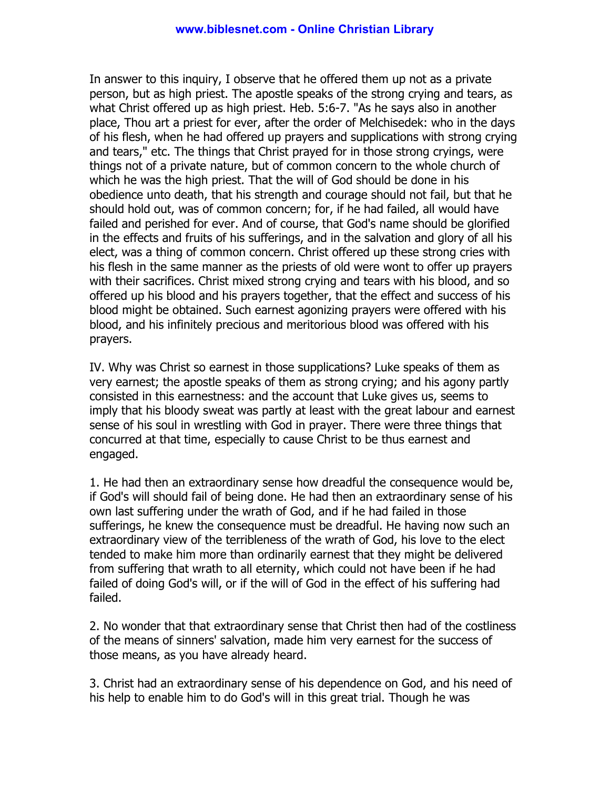In answer to this inquiry, I observe that he offered them up not as a private person, but as high priest. The apostle speaks of the strong crying and tears, as what Christ offered up as high priest. Heb. 5:6-7. "As he says also in another place, Thou art a priest for ever, after the order of Melchisedek: who in the days of his flesh, when he had offered up prayers and supplications with strong crying and tears," etc. The things that Christ prayed for in those strong cryings, were things not of a private nature, but of common concern to the whole church of which he was the high priest. That the will of God should be done in his obedience unto death, that his strength and courage should not fail, but that he should hold out, was of common concern; for, if he had failed, all would have failed and perished for ever. And of course, that God's name should be glorified in the effects and fruits of his sufferings, and in the salvation and glory of all his elect, was a thing of common concern. Christ offered up these strong cries with his flesh in the same manner as the priests of old were wont to offer up prayers with their sacrifices. Christ mixed strong crying and tears with his blood, and so offered up his blood and his prayers together, that the effect and success of his blood might be obtained. Such earnest agonizing prayers were offered with his blood, and his infinitely precious and meritorious blood was offered with his prayers.

IV. Why was Christ so earnest in those supplications? Luke speaks of them as very earnest; the apostle speaks of them as strong crying; and his agony partly consisted in this earnestness: and the account that Luke gives us, seems to imply that his bloody sweat was partly at least with the great labour and earnest sense of his soul in wrestling with God in prayer. There were three things that concurred at that time, especially to cause Christ to be thus earnest and engaged.

1. He had then an extraordinary sense how dreadful the consequence would be, if God's will should fail of being done. He had then an extraordinary sense of his own last suffering under the wrath of God, and if he had failed in those sufferings, he knew the consequence must be dreadful. He having now such an extraordinary view of the terribleness of the wrath of God, his love to the elect tended to make him more than ordinarily earnest that they might be delivered from suffering that wrath to all eternity, which could not have been if he had failed of doing God's will, or if the will of God in the effect of his suffering had failed.

2. No wonder that that extraordinary sense that Christ then had of the costliness of the means of sinners' salvation, made him very earnest for the success of those means, as you have already heard.

3. Christ had an extraordinary sense of his dependence on God, and his need of his help to enable him to do God's will in this great trial. Though he was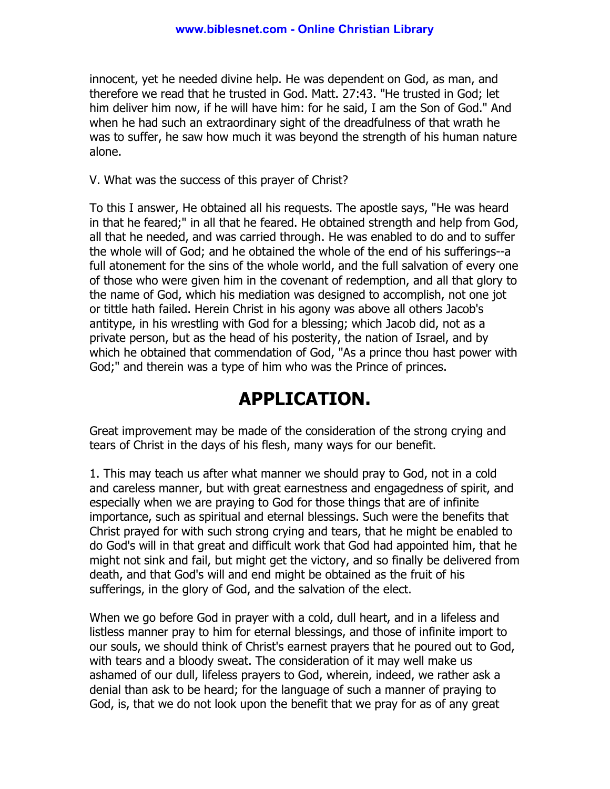innocent, yet he needed divine help. He was dependent on God, as man, and therefore we read that he trusted in God. Matt. 27:43. "He trusted in God; let him deliver him now, if he will have him: for he said, I am the Son of God." And when he had such an extraordinary sight of the dreadfulness of that wrath he was to suffer, he saw how much it was beyond the strength of his human nature alone.

V. What was the success of this prayer of Christ?

To this I answer, He obtained all his requests. The apostle says, "He was heard in that he feared;" in all that he feared. He obtained strength and help from God, all that he needed, and was carried through. He was enabled to do and to suffer the whole will of God; and he obtained the whole of the end of his sufferings--a full atonement for the sins of the whole world, and the full salvation of every one of those who were given him in the covenant of redemption, and all that glory to the name of God, which his mediation was designed to accomplish, not one jot or tittle hath failed. Herein Christ in his agony was above all others Jacob's antitype, in his wrestling with God for a blessing; which Jacob did, not as a private person, but as the head of his posterity, the nation of Israel, and by which he obtained that commendation of God, "As a prince thou hast power with God;" and therein was a type of him who was the Prince of princes.

# APPLICATION.

Great improvement may be made of the consideration of the strong crying and tears of Christ in the days of his flesh, many ways for our benefit.

1. This may teach us after what manner we should pray to God, not in a cold and careless manner, but with great earnestness and engagedness of spirit, and especially when we are praying to God for those things that are of infinite importance, such as spiritual and eternal blessings. Such were the benefits that Christ prayed for with such strong crying and tears, that he might be enabled to do God's will in that great and difficult work that God had appointed him, that he might not sink and fail, but might get the victory, and so finally be delivered from death, and that God's will and end might be obtained as the fruit of his sufferings, in the glory of God, and the salvation of the elect.

When we go before God in prayer with a cold, dull heart, and in a lifeless and listless manner pray to him for eternal blessings, and those of infinite import to our souls, we should think of Christ's earnest prayers that he poured out to God, with tears and a bloody sweat. The consideration of it may well make us ashamed of our dull, lifeless prayers to God, wherein, indeed, we rather ask a denial than ask to be heard; for the language of such a manner of praying to God, is, that we do not look upon the benefit that we pray for as of any great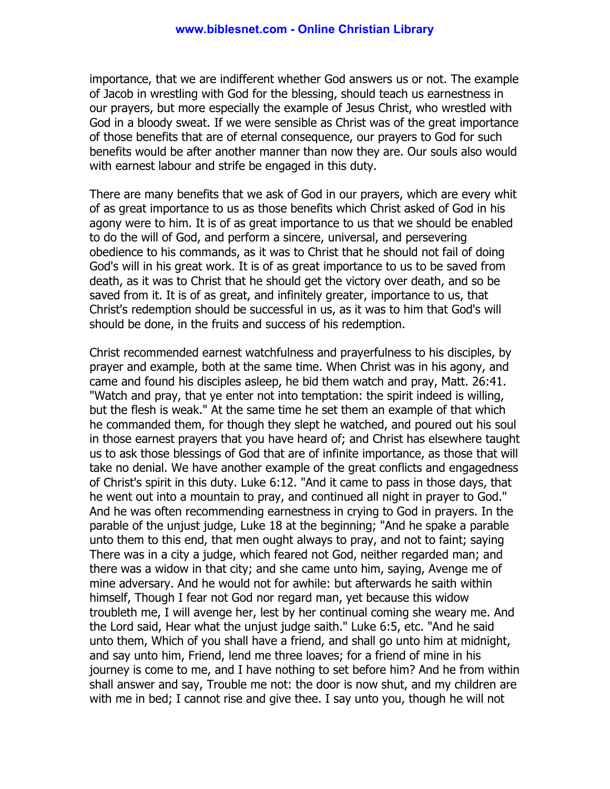importance, that we are indifferent whether God answers us or not. The example of Jacob in wrestling with God for the blessing, should teach us earnestness in our prayers, but more especially the example of Jesus Christ, who wrestled with God in a bloody sweat. If we were sensible as Christ was of the great importance of those benefits that are of eternal consequence, our prayers to God for such benefits would be after another manner than now they are. Our souls also would with earnest labour and strife be engaged in this duty.

There are many benefits that we ask of God in our prayers, which are every whit of as great importance to us as those benefits which Christ asked of God in his agony were to him. It is of as great importance to us that we should be enabled to do the will of God, and perform a sincere, universal, and persevering obedience to his commands, as it was to Christ that he should not fail of doing God's will in his great work. It is of as great importance to us to be saved from death, as it was to Christ that he should get the victory over death, and so be saved from it. It is of as great, and infinitely greater, importance to us, that Christ's redemption should be successful in us, as it was to him that God's will should be done, in the fruits and success of his redemption.

Christ recommended earnest watchfulness and prayerfulness to his disciples, by prayer and example, both at the same time. When Christ was in his agony, and came and found his disciples asleep, he bid them watch and pray, Matt. 26:41. "Watch and pray, that ye enter not into temptation: the spirit indeed is willing, but the flesh is weak." At the same time he set them an example of that which he commanded them, for though they slept he watched, and poured out his soul in those earnest prayers that you have heard of; and Christ has elsewhere taught us to ask those blessings of God that are of infinite importance, as those that will take no denial. We have another example of the great conflicts and engagedness of Christ's spirit in this duty. Luke 6:12. "And it came to pass in those days, that he went out into a mountain to pray, and continued all night in prayer to God." And he was often recommending earnestness in crying to God in prayers. In the parable of the unjust judge, Luke 18 at the beginning; "And he spake a parable unto them to this end, that men ought always to pray, and not to faint; saying There was in a city a judge, which feared not God, neither regarded man; and there was a widow in that city; and she came unto him, saying, Avenge me of mine adversary. And he would not for awhile: but afterwards he saith within himself, Though I fear not God nor regard man, yet because this widow troubleth me, I will avenge her, lest by her continual coming she weary me. And the Lord said, Hear what the unjust judge saith." Luke 6:5, etc. "And he said unto them, Which of you shall have a friend, and shall go unto him at midnight, and say unto him, Friend, lend me three loaves; for a friend of mine in his journey is come to me, and I have nothing to set before him? And he from within shall answer and say, Trouble me not: the door is now shut, and my children are with me in bed; I cannot rise and give thee. I say unto you, though he will not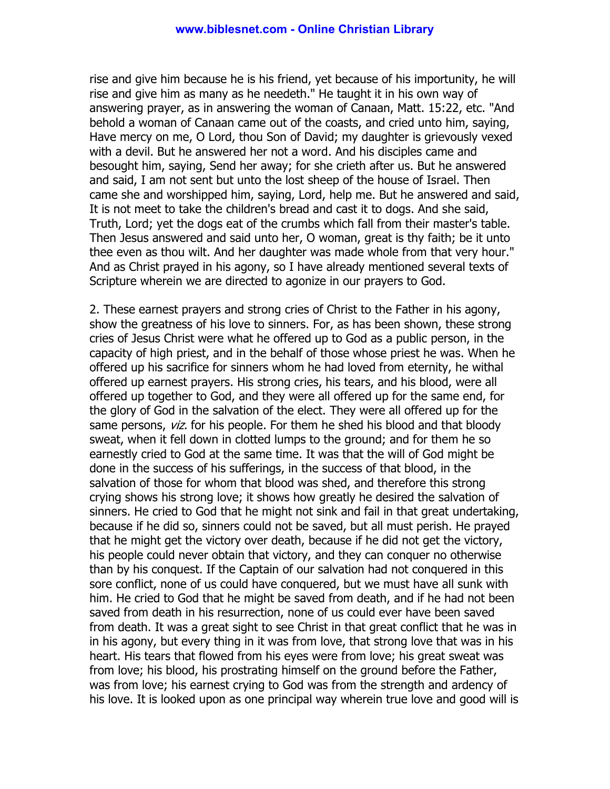rise and give him because he is his friend, yet because of his importunity, he will rise and give him as many as he needeth." He taught it in his own way of answering prayer, as in answering the woman of Canaan, Matt. 15:22, etc. "And behold a woman of Canaan came out of the coasts, and cried unto him, saying, Have mercy on me, O Lord, thou Son of David; my daughter is grievously vexed with a devil. But he answered her not a word. And his disciples came and besought him, saying, Send her away; for she crieth after us. But he answered and said, I am not sent but unto the lost sheep of the house of Israel. Then came she and worshipped him, saying, Lord, help me. But he answered and said, It is not meet to take the children's bread and cast it to dogs. And she said, Truth, Lord; yet the dogs eat of the crumbs which fall from their master's table. Then Jesus answered and said unto her, O woman, great is thy faith; be it unto thee even as thou wilt. And her daughter was made whole from that very hour." And as Christ prayed in his agony, so I have already mentioned several texts of Scripture wherein we are directed to agonize in our prayers to God.

2. These earnest prayers and strong cries of Christ to the Father in his agony, show the greatness of his love to sinners. For, as has been shown, these strong cries of Jesus Christ were what he offered up to God as a public person, in the capacity of high priest, and in the behalf of those whose priest he was. When he offered up his sacrifice for sinners whom he had loved from eternity, he withal offered up earnest prayers. His strong cries, his tears, and his blood, were all offered up together to God, and they were all offered up for the same end, for the glory of God in the salvation of the elect. They were all offered up for the same persons, *viz.* for his people. For them he shed his blood and that bloody sweat, when it fell down in clotted lumps to the ground; and for them he so earnestly cried to God at the same time. It was that the will of God might be done in the success of his sufferings, in the success of that blood, in the salvation of those for whom that blood was shed, and therefore this strong crying shows his strong love; it shows how greatly he desired the salvation of sinners. He cried to God that he might not sink and fail in that great undertaking, because if he did so, sinners could not be saved, but all must perish. He prayed that he might get the victory over death, because if he did not get the victory, his people could never obtain that victory, and they can conquer no otherwise than by his conquest. If the Captain of our salvation had not conquered in this sore conflict, none of us could have conquered, but we must have all sunk with him. He cried to God that he might be saved from death, and if he had not been saved from death in his resurrection, none of us could ever have been saved from death. It was a great sight to see Christ in that great conflict that he was in in his agony, but every thing in it was from love, that strong love that was in his heart. His tears that flowed from his eyes were from love; his great sweat was from love; his blood, his prostrating himself on the ground before the Father, was from love; his earnest crying to God was from the strength and ardency of his love. It is looked upon as one principal way wherein true love and good will is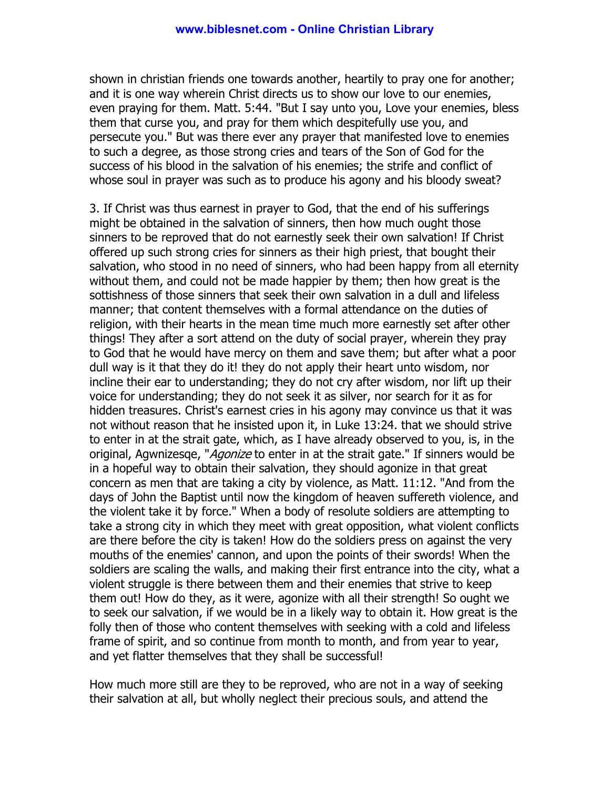shown in christian friends one towards another, heartily to pray one for another; and it is one way wherein Christ directs us to show our love to our enemies, even praying for them. Matt. 5:44. "But I say unto you, Love your enemies, bless them that curse you, and pray for them which despitefully use you, and persecute you." But was there ever any prayer that manifested love to enemies to such a degree, as those strong cries and tears of the Son of God for the success of his blood in the salvation of his enemies; the strife and conflict of whose soul in prayer was such as to produce his agony and his bloody sweat?

3. If Christ was thus earnest in prayer to God, that the end of his sufferings might be obtained in the salvation of sinners, then how much ought those sinners to be reproved that do not earnestly seek their own salvation! If Christ offered up such strong cries for sinners as their high priest, that bought their salvation, who stood in no need of sinners, who had been happy from all eternity without them, and could not be made happier by them; then how great is the sottishness of those sinners that seek their own salvation in a dull and lifeless manner; that content themselves with a formal attendance on the duties of religion, with their hearts in the mean time much more earnestly set after other things! They after a sort attend on the duty of social prayer, wherein they pray to God that he would have mercy on them and save them; but after what a poor dull way is it that they do it! they do not apply their heart unto wisdom, nor incline their ear to understanding; they do not cry after wisdom, nor lift up their voice for understanding; they do not seek it as silver, nor search for it as for hidden treasures. Christ's earnest cries in his agony may convince us that it was not without reason that he insisted upon it, in Luke 13:24. that we should strive to enter in at the strait gate, which, as I have already observed to you, is, in the original, Agwnizesge, "*Agonize* to enter in at the strait gate." If sinners would be in a hopeful way to obtain their salvation, they should agonize in that great concern as men that are taking a city by violence, as Matt. 11:12. "And from the days of John the Baptist until now the kingdom of heaven suffereth violence, and the violent take it by force." When a body of resolute soldiers are attempting to take a strong city in which they meet with great opposition, what violent conflicts are there before the city is taken! How do the soldiers press on against the very mouths of the enemies' cannon, and upon the points of their swords! When the soldiers are scaling the walls, and making their first entrance into the city, what a violent struggle is there between them and their enemies that strive to keep them out! How do they, as it were, agonize with all their strength! So ought we to seek our salvation, if we would be in a likely way to obtain it. How great is the folly then of those who content themselves with seeking with a cold and lifeless frame of spirit, and so continue from month to month, and from year to year, and yet flatter themselves that they shall be successful!

How much more still are they to be reproved, who are not in a way of seeking their salvation at all, but wholly neglect their precious souls, and attend the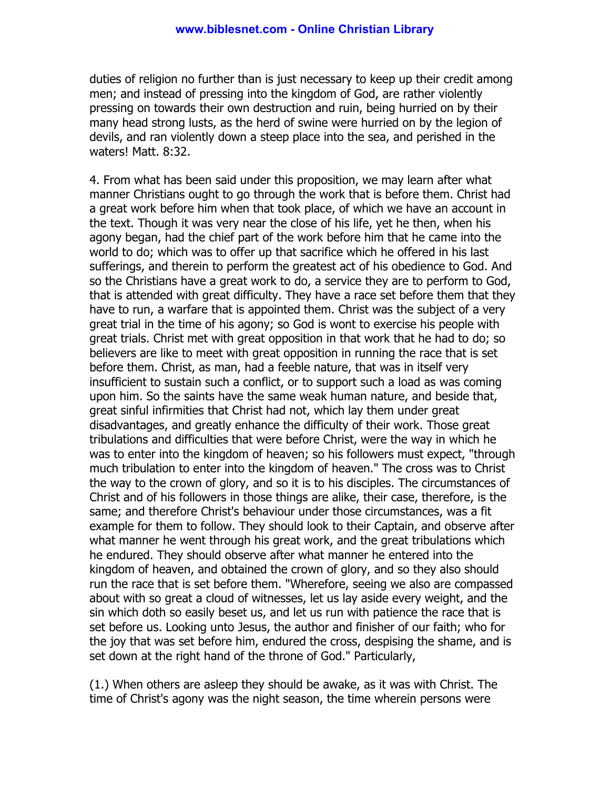duties of religion no further than is just necessary to keep up their credit among men; and instead of pressing into the kingdom of God, are rather violently pressing on towards their own destruction and ruin, being hurried on by their many head strong lusts, as the herd of swine were hurried on by the legion of devils, and ran violently down a steep place into the sea, and perished in the waters! Matt. 8:32.

4. From what has been said under this proposition, we may learn after what manner Christians ought to go through the work that is before them. Christ had a great work before him when that took place, of which we have an account in the text. Though it was very near the close of his life, yet he then, when his agony began, had the chief part of the work before him that he came into the world to do; which was to offer up that sacrifice which he offered in his last sufferings, and therein to perform the greatest act of his obedience to God. And so the Christians have a great work to do, a service they are to perform to God, that is attended with great difficulty. They have a race set before them that they have to run, a warfare that is appointed them. Christ was the subject of a very great trial in the time of his agony; so God is wont to exercise his people with great trials. Christ met with great opposition in that work that he had to do; so believers are like to meet with great opposition in running the race that is set before them. Christ, as man, had a feeble nature, that was in itself very insufficient to sustain such a conflict, or to support such a load as was coming upon him. So the saints have the same weak human nature, and beside that, great sinful infirmities that Christ had not, which lay them under great disadvantages, and greatly enhance the difficulty of their work. Those great tribulations and difficulties that were before Christ, were the way in which he was to enter into the kingdom of heaven; so his followers must expect, "through much tribulation to enter into the kingdom of heaven." The cross was to Christ the way to the crown of glory, and so it is to his disciples. The circumstances of Christ and of his followers in those things are alike, their case, therefore, is the same; and therefore Christ's behaviour under those circumstances, was a fit example for them to follow. They should look to their Captain, and observe after what manner he went through his great work, and the great tribulations which he endured. They should observe after what manner he entered into the kingdom of heaven, and obtained the crown of glory, and so they also should run the race that is set before them. "Wherefore, seeing we also are compassed about with so great a cloud of witnesses, let us lay aside every weight, and the sin which doth so easily beset us, and let us run with patience the race that is set before us. Looking unto Jesus, the author and finisher of our faith; who for the joy that was set before him, endured the cross, despising the shame, and is set down at the right hand of the throne of God." Particularly,

(1.) When others are asleep they should be awake, as it was with Christ. The time of Christ's agony was the night season, the time wherein persons were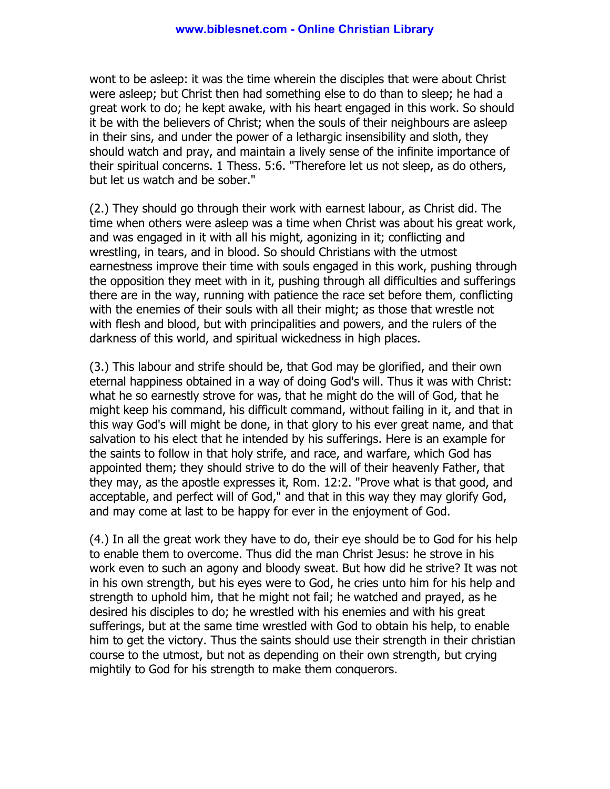wont to be asleep: it was the time wherein the disciples that were about Christ were asleep; but Christ then had something else to do than to sleep; he had a great work to do; he kept awake, with his heart engaged in this work. So should it be with the believers of Christ; when the souls of their neighbours are asleep in their sins, and under the power of a lethargic insensibility and sloth, they should watch and pray, and maintain a lively sense of the infinite importance of their spiritual concerns. 1 Thess. 5:6. "Therefore let us not sleep, as do others, but let us watch and be sober."

(2.) They should go through their work with earnest labour, as Christ did. The time when others were asleep was a time when Christ was about his great work, and was engaged in it with all his might, agonizing in it; conflicting and wrestling, in tears, and in blood. So should Christians with the utmost earnestness improve their time with souls engaged in this work, pushing through the opposition they meet with in it, pushing through all difficulties and sufferings there are in the way, running with patience the race set before them, conflicting with the enemies of their souls with all their might; as those that wrestle not with flesh and blood, but with principalities and powers, and the rulers of the darkness of this world, and spiritual wickedness in high places.

(3.) This labour and strife should be, that God may be glorified, and their own eternal happiness obtained in a way of doing God's will. Thus it was with Christ: what he so earnestly strove for was, that he might do the will of God, that he might keep his command, his difficult command, without failing in it, and that in this way God's will might be done, in that glory to his ever great name, and that salvation to his elect that he intended by his sufferings. Here is an example for the saints to follow in that holy strife, and race, and warfare, which God has appointed them; they should strive to do the will of their heavenly Father, that they may, as the apostle expresses it, Rom. 12:2. "Prove what is that good, and acceptable, and perfect will of God," and that in this way they may glorify God, and may come at last to be happy for ever in the enjoyment of God.

(4.) In all the great work they have to do, their eye should be to God for his help to enable them to overcome. Thus did the man Christ Jesus: he strove in his work even to such an agony and bloody sweat. But how did he strive? It was not in his own strength, but his eyes were to God, he cries unto him for his help and strength to uphold him, that he might not fail; he watched and prayed, as he desired his disciples to do; he wrestled with his enemies and with his great sufferings, but at the same time wrestled with God to obtain his help, to enable him to get the victory. Thus the saints should use their strength in their christian course to the utmost, but not as depending on their own strength, but crying mightily to God for his strength to make them conquerors.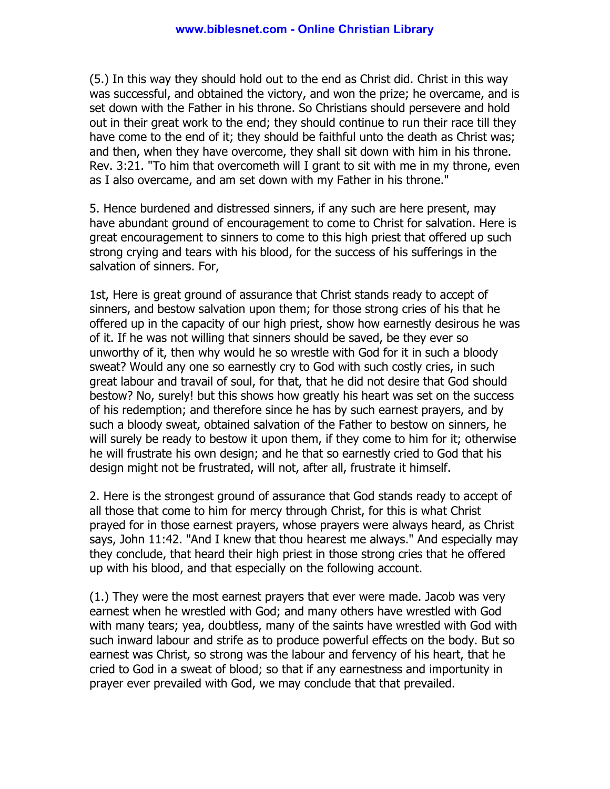(5.) In this way they should hold out to the end as Christ did. Christ in this way was successful, and obtained the victory, and won the prize; he overcame, and is set down with the Father in his throne. So Christians should persevere and hold out in their great work to the end; they should continue to run their race till they have come to the end of it; they should be faithful unto the death as Christ was; and then, when they have overcome, they shall sit down with him in his throne. Rev. 3:21. "To him that overcometh will I grant to sit with me in my throne, even as I also overcame, and am set down with my Father in his throne."

5. Hence burdened and distressed sinners, if any such are here present, may have abundant ground of encouragement to come to Christ for salvation. Here is great encouragement to sinners to come to this high priest that offered up such strong crying and tears with his blood, for the success of his sufferings in the salvation of sinners. For,

1st, Here is great ground of assurance that Christ stands ready to accept of sinners, and bestow salvation upon them; for those strong cries of his that he offered up in the capacity of our high priest, show how earnestly desirous he was of it. If he was not willing that sinners should be saved, be they ever so unworthy of it, then why would he so wrestle with God for it in such a bloody sweat? Would any one so earnestly cry to God with such costly cries, in such great labour and travail of soul, for that, that he did not desire that God should bestow? No, surely! but this shows how greatly his heart was set on the success of his redemption; and therefore since he has by such earnest prayers, and by such a bloody sweat, obtained salvation of the Father to bestow on sinners, he will surely be ready to bestow it upon them, if they come to him for it; otherwise he will frustrate his own design; and he that so earnestly cried to God that his design might not be frustrated, will not, after all, frustrate it himself.

2. Here is the strongest ground of assurance that God stands ready to accept of all those that come to him for mercy through Christ, for this is what Christ prayed for in those earnest prayers, whose prayers were always heard, as Christ says, John 11:42. "And I knew that thou hearest me always." And especially may they conclude, that heard their high priest in those strong cries that he offered up with his blood, and that especially on the following account.

(1.) They were the most earnest prayers that ever were made. Jacob was very earnest when he wrestled with God; and many others have wrestled with God with many tears; yea, doubtless, many of the saints have wrestled with God with such inward labour and strife as to produce powerful effects on the body. But so earnest was Christ, so strong was the labour and fervency of his heart, that he cried to God in a sweat of blood; so that if any earnestness and importunity in prayer ever prevailed with God, we may conclude that that prevailed.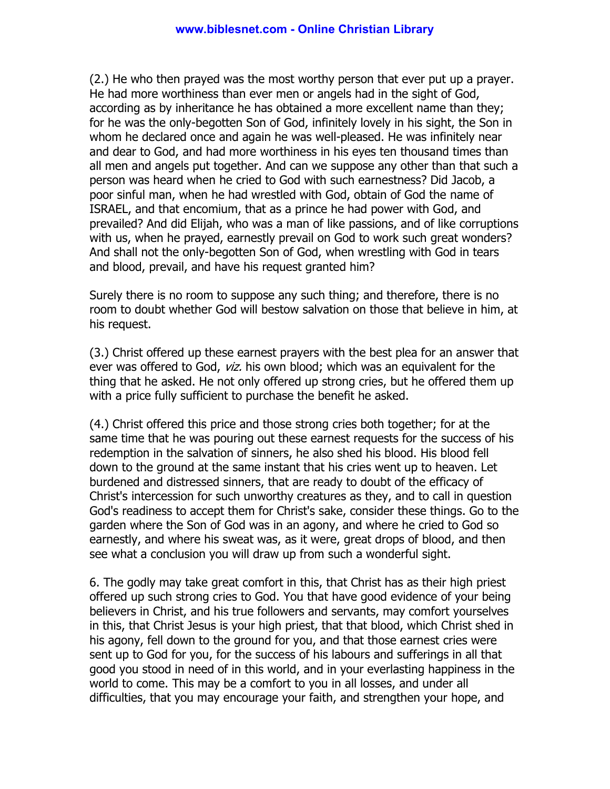(2.) He who then prayed was the most worthy person that ever put up a prayer. He had more worthiness than ever men or angels had in the sight of God, according as by inheritance he has obtained a more excellent name than they; for he was the only-begotten Son of God, infinitely lovely in his sight, the Son in whom he declared once and again he was well-pleased. He was infinitely near and dear to God, and had more worthiness in his eyes ten thousand times than all men and angels put together. And can we suppose any other than that such a person was heard when he cried to God with such earnestness? Did Jacob, a poor sinful man, when he had wrestled with God, obtain of God the name of ISRAEL, and that encomium, that as a prince he had power with God, and prevailed? And did Elijah, who was a man of like passions, and of like corruptions with us, when he prayed, earnestly prevail on God to work such great wonders? And shall not the only-begotten Son of God, when wrestling with God in tears and blood, prevail, and have his request granted him?

Surely there is no room to suppose any such thing; and therefore, there is no room to doubt whether God will bestow salvation on those that believe in him, at his request.

(3.) Christ offered up these earnest prayers with the best plea for an answer that ever was offered to God, *viz.* his own blood; which was an equivalent for the thing that he asked. He not only offered up strong cries, but he offered them up with a price fully sufficient to purchase the benefit he asked.

(4.) Christ offered this price and those strong cries both together; for at the same time that he was pouring out these earnest requests for the success of his redemption in the salvation of sinners, he also shed his blood. His blood fell down to the ground at the same instant that his cries went up to heaven. Let burdened and distressed sinners, that are ready to doubt of the efficacy of Christ's intercession for such unworthy creatures as they, and to call in question God's readiness to accept them for Christ's sake, consider these things. Go to the garden where the Son of God was in an agony, and where he cried to God so earnestly, and where his sweat was, as it were, great drops of blood, and then see what a conclusion you will draw up from such a wonderful sight.

6. The godly may take great comfort in this, that Christ has as their high priest offered up such strong cries to God. You that have good evidence of your being believers in Christ, and his true followers and servants, may comfort yourselves in this, that Christ Jesus is your high priest, that that blood, which Christ shed in his agony, fell down to the ground for you, and that those earnest cries were sent up to God for you, for the success of his labours and sufferings in all that good you stood in need of in this world, and in your everlasting happiness in the world to come. This may be a comfort to you in all losses, and under all difficulties, that you may encourage your faith, and strengthen your hope, and